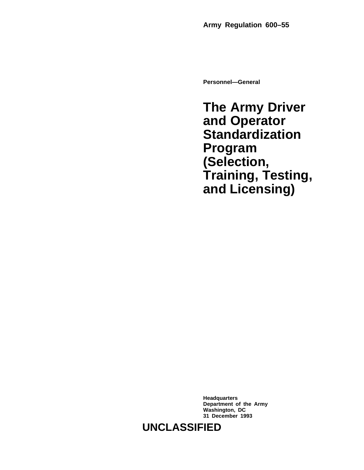**Personnel—General**

**The Army Driver and Operator Standardization Program (Selection, Training, Testing, and Licensing)**

**Headquarters Department of the Army Washington, DC 31 December 1993**

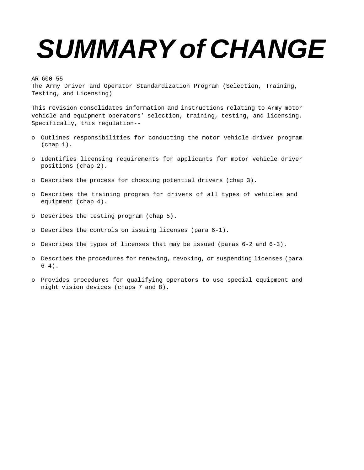# **SUMMARY of CHANGE**

AR 600–55

The Army Driver and Operator Standardization Program (Selection, Training, Testing, and Licensing)

This revision consolidates information and instructions relating to Army motor vehicle and equipment operators' selection, training, testing, and licensing. Specifically, this regulation--

- o Outlines responsibilities for conducting the motor vehicle driver program  $(char 1).$
- o Identifies licensing requirements for applicants for motor vehicle driver positions (chap 2).
- o Describes the process for choosing potential drivers (chap 3).
- o Describes the training program for drivers of all types of vehicles and equipment (chap 4).
- o Describes the testing program (chap 5).
- o Describes the controls on issuing licenses (para 6-1).
- o Describes the types of licenses that may be issued (paras 6-2 and 6-3).
- o Describes the procedures for renewing, revoking, or suspending licenses (para  $6-4)$ .
- o Provides procedures for qualifying operators to use special equipment and night vision devices (chaps 7 and 8).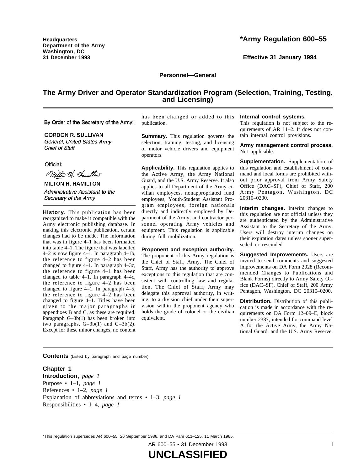**Headquarters Department of the Army Washington, DC 31 December 1993**

# **\*Army Regulation 600–55**

**Effective 31 January 1994**

#### **Personnel—General**

# **The Army Driver and Operator Standardization Program (Selection, Training, Testing, and Licensing)**

By Order of the Secretary of the Army:

**GORDON R. SULLIVAN** General. United States Armv Chief of Staff

Official:

Mitto A. Hamilton

**MILTON H. HAMILTON** Administrative Assistant to the Secretary of the Army

History. This publication has been reorganized to make it compatible with the Army electronic publishing database. In making this electronic publication, certain changes had to be made. The information that was in figure 4–1 has been formatted into table 4–1. The figure that was labelled 4–2 is now figure 4–1. In paragraph 4–1b, the reference to figure  $4-2$  has been changed to figure 4–1. In paragraph 4–3c, the reference to figure  $4-1$  has been changed to table 4–1. In paragraph 4–4c, the reference to figure  $4-2$  has been changed to figure 4–1. In paragraph 4–5, the reference to figure  $4-2$  has been changed to figure  $4-1$ . Titles have been given to the major paragraphs in appendixes B and C, as these are required. Paragraph  $G-3b(1)$  has been broken into two paragraphs,  $G-3b(1)$  and  $G-3b(2)$ . Except for these minor changes, no content has been changed or added to this publication.

**Summary.** This regulation governs the selection, training, testing, and licensing of motor vehicle drivers and equipment operators.

**Applicability.** This regulation applies to the Active Army, the Army National Guard, and the U.S. Army Reserve. It also applies to all Department of the Army civilian employees, nonappropriated fund employees, Youth/Student Assistant Program employees, foreign nationals directly and indirectly employed by Department of the Army, and contractor personnel operating Army vehicles and equipment. This regulation is applicable during full mobilization.

#### **Proponent and exception authority.**

The proponent of this Army regulation is the Chief of Staff, Army. The Chief of Staff, Army has the authority to approve exceptions to this regulation that are consistent with controlling law and regulation. The Chief of Staff, Army may delegate this approval authority, in writing, to a division chief under their supervision within the proponent agency who holds the grade of colonel or the civilian equivalent.

#### **Internal control systems.**

This regulation is not subject to the requirements of AR 11–2. It does not contain internal control provisions.

#### **Army management control process.** Not applicable.

**Supplementation.** Supplementation of this regulation and establishment of command and local forms are prohibited without prior approval from Army Safety Office (DAC-SF), Chief of Staff, 200 Army Pentagon, Washington, DC 20310–0200.

**Interim changes.** Interim changes to this regulation are not official unless they are authenticated by the Administrative Assistant to the Secretary of the Army. Users will destroy interim changes on their expiration dates unless sooner superseded or rescinded.

**Suggested Improvements.** Users are invited to send comments and suggested improvements on DA Form 2028 (Recommended Changes to Publications and Blank Forms) directly to Army Safety Office (DAC–SF), Chief of Staff, 200 Army Pentagon, Washington, DC 20310–0200.

**Distribution.** Distribution of this publication is made in accordance with the requirements on DA Form 12–09–E, block number 2387, intended for command level A for the Active Army, the Army National Guard, and the U.S. Army Reserve.

**Contents** (Listed by paragraph and page number)

**Chapter 1 Introduction,** *page 1* Purpose • 1–1, *page 1* References • 1–2, *page 1* Explanation of abbreviations and terms • 1–3, *page 1* Responsibilities • 1–4, *page 1*

\*This regulation supersedes AR 600–55, 26 September 1986, and DA Pam 611–125, 11 March 1965.

AR 600–55 • 31 December 1993 i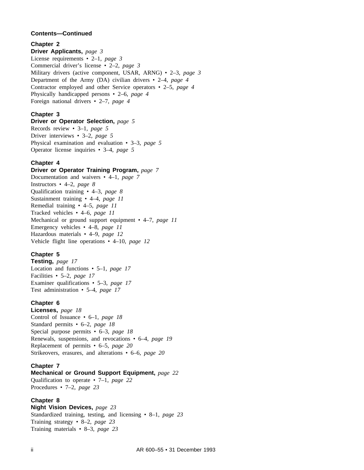# **Contents—Continued**

# **Chapter 2**

**Driver Applicants,** *page 3* License requirements • 2–1, *page 3* Commercial driver's license • 2–2, *page 3* Military drivers (active component, USAR, ARNG) • 2–3, *page 3* Department of the Army (DA) civilian drivers • 2–4, *page 4* Contractor employed and other Service operators • 2–5, *page 4* Physically handicapped persons • 2–6, *page 4* Foreign national drivers • 2–7, *page 4*

# **Chapter 3**

**Driver or Operator Selection,** *page 5* Records review • 3–1, *page 5* Driver interviews • 3–2, *page 5* Physical examination and evaluation • 3–3, *page 5* Operator license inquiries • 3–4, *page 5*

#### **Chapter 4**

# **Driver or Operator Training Program,** *page 7*

Documentation and waivers • 4–1, *page 7* Instructors • 4–2, *page 8* Qualification training • 4–3, *page 8* Sustainment training • 4–4, *page 11* Remedial training • 4–5, *page 11* Tracked vehicles • 4–6, *page 11* Mechanical or ground support equipment • 4–7, *page 11* Emergency vehicles • 4–8, *page 11* Hazardous materials • 4–9, *page 12* Vehicle flight line operations • 4–10, *page 12*

# **Chapter 5**

**Testing,** *page 17* Location and functions • 5–1, *page 17* Facilities • 5–2, *page 17* Examiner qualifications • 5–3, *page 17* Test administration • 5–4, *page 17*

# **Chapter 6**

**Licenses,** *page 18* Control of Issuance • 6–1, *page 18* Standard permits • 6–2, *page 18* Special purpose permits • 6–3, *page 18* Renewals, suspensions, and revocations • 6–4, *page 19* Replacement of permits • 6–5, *page 20* Strikeovers, erasures, and alterations • 6–6, *page 20*

# **Chapter 7**

**Mechanical or Ground Support Equipment,** *page 22* Qualification to operate • 7–1, *page 22* Procedures • 7–2, *page 23*

#### **Chapter 8**

**Night Vision Devices,** *page 23* Standardized training, testing, and licensing • 8–1, *page 23* Training strategy • 8–2, *page 23* Training materials • 8–3, *page 23*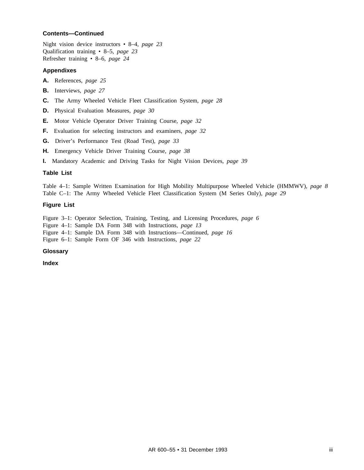# **Contents—Continued**

Night vision device instructors • 8–4, *page 23* Qualification training • 8–5, *page 23* Refresher training • 8–6, *page 24*

#### **Appendixes**

- **A.** References, *page 25*
- **B.** Interviews, *page 27*
- **C.** The Army Wheeled Vehicle Fleet Classification System, *page 28*
- **D.** Physical Evaluation Measures, *page 30*
- **E.** Motor Vehicle Operator Driver Training Course, *page 32*
- **F.** Evaluation for selecting instructors and examiners, *page 32*
- **G.** Driver's Performance Test (Road Test), *page 33*
- **H.** Emergency Vehicle Driver Training Course, *page 38*
- **I.** Mandatory Academic and Driving Tasks for Night Vision Devices, *page 39*

#### **Table List**

Table 4–1: Sample Written Examination for High Mobility Multipurpose Wheeled Vehicle (HMMWV), *page 8* Table C–1: The Army Wheeled Vehicle Fleet Classification System (M Series Only), *page 29*

#### **Figure List**

Figure 3–1: Operator Selection, Training, Testing, and Licensing Procedures, *page 6*

Figure 4–1: Sample DA Form 348 with Instructions, *page 13*

Figure 4–1: Sample DA Form 348 with Instructions—Continued, *page 16*

Figure 6–1: Sample Form OF 346 with Instructions, *page 22*

#### **Glossary**

**Index**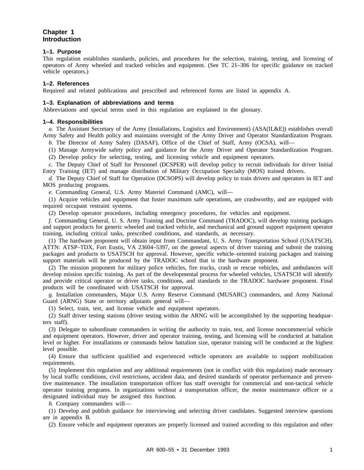# **Chapter 1 Introduction**

## **1–1. Purpose**

This regulation establishes standards, policies, and procedures for the selection, training, testing, and licensing of operators of Army wheeled and tracked vehicles and equipment. (See TC 21–306 for specific guidance on tracked vehicle operators.)

# **1–2. References**

Required and related publications and prescribed and referenced forms are listed in appendix A.

#### **1–3. Explanation of abbreviations and terms**

Abbreviations and special terms used in this regulation are explained in the glossary.

#### **1–4. Responsibilities**

*a.* The Assistant Secretary of the Army (Installations, Logistics and Environment) (ASA(IL&E)) establishes overall Army Safety and Health policy and maintains oversight of the Army Driver and Operator Standardization Program.

*b.* The Director of Army Safety (DASAF), Office of the Chief of Staff, Army (OCSA), will—

(1) Manage Armywide safety policy and guidance for the Army Driver and Operator Standardization Program.

(2) Develop policy for selecting, testing, and licensing vehicle and equipment operators.

*c.* The Deputy Chief of Staff for Personnel (DCSPER) will develop policy to recruit individuals for driver Initial Entry Training (IET) and manage distribution of Military Occupation Specialty (MOS) trained drivers.

*d.* The Deputy Chief of Staff for Operation (DCSOPS) will develop policy to train drivers and operators in IET and MOS producing programs.

*e.* Commanding General, U.S. Army Materiel Command (AMC), will—

(1) Acquire vehicles and equipment that foster maximum safe operations, are crashworthy, and are equipped with required occupant restraint systems.

(2) Develop operator procedures, including emergency procedures, for vehicles and equipment.

*f.* Commanding General, U. S. Army Training and Doctrine Command (TRADOC), will develop training packages and support products for generic wheeled and tracked vehicle, and mechanical and ground support equipment operator training, including critical tasks, prescribed conditions, and standards, as necessary.

(1) The hardware proponent will obtain input from Commandant, U. S. Army Transportation School (USATSCH), ATTN: ATSP–TDX, Fort Eustis, VA 23604–5397, on the general aspects of driver training and submit the training packages and products to USATSCH for approval. However, specific vehicle–oriented training packages and training support materials will be produced by the TRADOC school that is the hardware proponent.

(2) The mission proponent for military police vehicles, fire trucks, crash or rescue vehicles, and ambulances will develop mission specific training. As part of the developmental process for wheeled vehicles, USATSCH will identify and provide critical operator or driver tasks, conditions, and standards to the TRADOC hardware proponent. Final products will be coordinated with USATSCH for approval.

*g.* Installation commanders, Major U.S. Army Reserve Command (MUSARC) commanders, and Army National Guard (ARNG) State or territory adjutants general will—

(1) Select, train, test, and license vehicle and equipment operators.

(2) Staff driver testing stations (driver testing within the ARNG will be accomplished by the supporting headquarters staff).

(3) Delegate to subordinate commanders in writing the authority to train, test, and license noncommercial vehicle and equipment operators. However, driver and operator training, testing, and licensing will be conducted at battalion level or higher. For installations or commands below battalion size, operator training will be conducted at the highest level possible.

(4) Ensure that sufficient qualified and experienced vehicle operators are available to support mobilization requirements.

(5) Implement this regulation and any additional requirements (not in conflict with this regulation) made necessary by local traffic conditions, civil restrictions, accident data, and desired standards of operator performance and preventive maintenance. The installation transportation officer has staff oversight for commercial and non-tactical vehicle operator training programs. In organizations without a transportation officer, the motor maintenance officer or a designated individual may be assigned this function.

*h.* Company commanders will—

(1) Develop and publish guidance for interviewing and selecting driver candidates. Suggested interview questions are in appendix B.

(2) Ensure vehicle and equipment operators are properly licensed and trained according to this regulation and other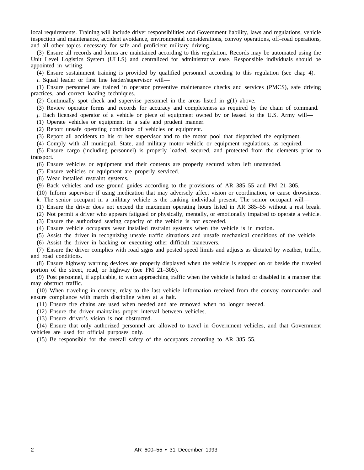local requirements. Training will include driver responsibilities and Government liability, laws and regulations, vehicle inspection and maintenance, accident avoidance, environmental considerations, convoy operations, off–road operations, and all other topics necessary for safe and proficient military driving.

(3) Ensure all records and forms are maintained according to this regulation. Records may be automated using the Unit Level Logistics System (ULLS) and centralized for administrative ease. Responsible individuals should be appointed in writing.

(4) Ensure sustainment training is provided by qualified personnel according to this regulation (see chap 4).

*i.* Squad leader or first line leader/supervisor will—

(1) Ensure personnel are trained in operator preventive maintenance checks and services (PMCS), safe driving practices, and correct loading techniques.

(2) Continually spot check and supervise personnel in the areas listed in g(1) above.

(3) Review operator forms and records for accuracy and completeness as required by the chain of command.

*j.* Each licensed operator of a vehicle or piece of equipment owned by or leased to the U.S. Army will—

(1) Operate vehicles or equipment in a safe and prudent manner.

(2) Report unsafe operating conditions of vehicles or equipment.

(3) Report all accidents to his or her supervisor and to the motor pool that dispatched the equipment.

(4) Comply with all municipal, State, and military motor vehicle or equipment regulations, as required.

(5) Ensure cargo (including personnel) is properly loaded, secured, and protected from the elements prior to transport.

(6) Ensure vehicles or equipment and their contents are properly secured when left unattended.

(7) Ensure vehicles or equipment are properly serviced.

(8) Wear installed restraint systems.

(9) Back vehicles and use ground guides according to the provisions of AR 385–55 and FM 21–305.

(10) Inform supervisor if using medication that may adversely affect vision or coordination, or cause drowsiness. *k.* The senior occupant in a military vehicle is the ranking individual present. The senior occupant will—

(1) Ensure the driver does not exceed the maximum operating hours listed in AR 385–55 without a rest break.

(2) Not permit a driver who appears fatigued or physically, mentally, or emotionally impaired to operate a vehicle.

(3) Ensure the authorized seating capacity of the vehicle is not exceeded.

(4) Ensure vehicle occupants wear installed restraint systems when the vehicle is in motion.

(5) Assist the driver in recognizing unsafe traffic situations and unsafe mechanical conditions of the vehicle.

(6) Assist the driver in backing or executing other difficult maneuvers.

(7) Ensure the driver complies with road signs and posted speed limits and adjusts as dictated by weather, traffic, and road conditions.

(8) Ensure highway warning devices are properly displayed when the vehicle is stopped on or beside the traveled portion of the street, road, or highway (see FM 21–305).

(9) Post personnel, if applicable, to warn approaching traffic when the vehicle is halted or disabled in a manner that may obstruct traffic.

(10) When traveling in convoy, relay to the last vehicle information received from the convoy commander and ensure compliance with march discipline when at a halt.

(11) Ensure tire chains are used when needed and are removed when no longer needed.

(12) Ensure the driver maintains proper interval between vehicles.

(13) Ensure driver's vision is not obstructed.

(14) Ensure that only authorized personnel are allowed to travel in Government vehicles, and that Government vehicles are used for official purposes only.

(15) Be responsible for the overall safety of the occupants according to AR 385–55.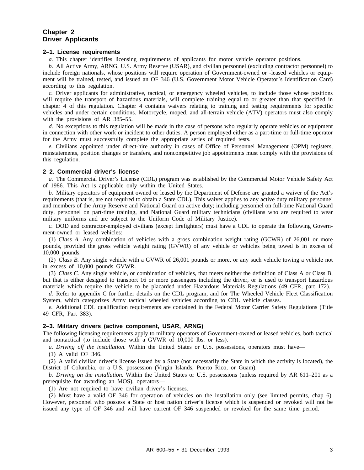# **Chapter 2 Driver Applicants**

#### **2–1. License requirements**

*a.* This chapter identifies licensing requirements of applicants for motor vehicle operator positions.

*b.* All Active Army, ARNG, U.S. Army Reserve (USAR), and civilian personnel (excluding contractor personnel) to include foreign nationals, whose positions will require operation of Government-owned or -leased vehicles or equipment will be trained, tested, and issued an OF 346 (U.S. Government Motor Vehicle Operator's Identification Card) according to this regulation.

*c.* Driver applicants for administrative, tactical, or emergency wheeled vehicles, to include those whose positions will require the transport of hazardous materials, will complete training equal to or greater than that specified in chapter 4 of this regulation. Chapter 4 contains waivers relating to training and testing requirements for specific vehicles and under certain conditions. Motorcycle, moped, and all-terrain vehicle (ATV) operators must also comply with the provisions of AR 385–55.

*d.* No exceptions to this regulation will be made in the case of persons who regularly operate vehicles or equipment in connection with other work or incident to other duties. A person employed either as a part-time or full-time operator for the Army must successfully complete the appropriate series of required tests.

*e.* Civilians appointed under direct-hire authority in cases of Office of Personnel Management (OPM) registers, reinstatements, position changes or transfers, and noncompetitive job appointments must comply with the provisions of this regulation.

#### **2–2. Commercial driver's license**

*a.* The Commercial Driver's License (CDL) program was established by the Commercial Motor Vehicle Safety Act of 1986. This Act is applicable only within the United States.

*b.* Military operators of equipment owned or leased by the Department of Defense are granted a waiver of the Act's requirements (that is, are not required to obtain a State CDL). This waiver applies to any active duty military personnel and members of the Army Reserve and National Guard on active duty; including personnel on full-time National Guard duty, personnel on part-time training, and National Guard military technicians (civilians who are required to wear military uniforms and are subject to the Uniform Code of Military Justice).

*c.* DOD and contractor-employed civilians (except firefighters) must have a CDL to operate the following Government-owned or leased vehicles:

(1) *Class A.* Any combination of vehicles with a gross combination weight rating (GCWR) of 26,001 or more pounds, provided the gross vehicle weight rating (GVWR) of any vehicle or vehicles being towed is in excess of 10,000 pounds.

(2) *Class B.* Any single vehicle with a GVWR of 26,001 pounds or more, or any such vehicle towing a vehicle not in excess of 10,000 pounds GVWR.

(3) *Class C.* Any single vehicle, or combination of vehicles, that meets neither the definition of Class A or Class B, but that is either designed to transport 16 or more passengers including the driver, or is used to transport hazardous materials which require the vehicle to be placarded under Hazardous Materials Regulations (49 CFR, part 172).

*d.* Refer to appendix C for further details on the CDL program, and for The Wheeled Vehicle Fleet Classification System, which categorizes Army tactical wheeled vehicles according to CDL vehicle classes.

*e.* Additional CDL qualification requirements are contained in the Federal Motor Carrier Safety Regulations (Title 49 CFR, Part 383).

#### **2–3. Military drivers (active component, USAR, ARNG)**

The following licensing requirements apply to military operators of Government-owned or leased vehicles, both tactical and nontactical (to include those with a GVWR of 10,000 lbs. or less).

*a. Driving off the installation.* Within the United States or U.S. possessions, operators must have—

(1) A valid OF 346.

(2) A valid civilian driver's license issued by a State (not necessarily the State in which the activity is located), the District of Columbia, or a U.S. possession (Virgin Islands, Puerto Rico, or Guam).

*b. Driving on the installation.* Within the United States or U.S. possessions (unless required by AR 611–201 as a prerequisite for awarding an MOS), operators—

(1) Are not required to have civilian driver's licenses.

(2) Must have a valid OF 346 for operation of vehicles on the installation only (see limited permits, chap 6). However, personnel who possess a State or host nation driver's license which is suspended or revoked will not be issued any type of OF 346 and will have current OF 346 suspended or revoked for the same time period.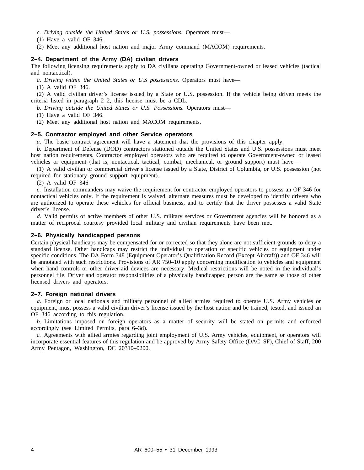*c. Driving outside the United States or U.S. possessions.* Operators must—

(1) Have a valid OF 346.

(2) Meet any additional host nation and major Army command (MACOM) requirements.

# **2–4. Department of the Army (DA) civilian drivers**

The following licensing requirements apply to DA civilians operating Government-owned or leased vehicles (tactical and nontactical).

*a. Driving within the United States or U.S possessions.* Operators must have—

(1) A valid OF 346.

(2) A valid civilian driver's license issued by a State or U.S. possession. If the vehicle being driven meets the criteria listed in paragraph 2–2, this license must be a CDL.

*b. Driving outside the United States or U.S. Possessions.* Operators must—

(1) Have a valid OF 346.

(2) Meet any additional host nation and MACOM requirements.

# **2–5. Contractor employed and other Service operators**

*a.* The basic contract agreement will have a statement that the provisions of this chapter apply.

*b.* Department of Defense (DOD) contractors stationed outside the United States and U.S. possessions must meet host nation requirements. Contractor employed operators who are required to operate Government-owned or leased vehicles or equipment (that is, nontactical, tactical, combat, mechanical, or ground support) must have—

(1) A valid civilian or commercial driver's license issued by a State, District of Columbia, or U.S. possession (not required for stationary ground support equipment).

(2) A valid OF 346

*c.* Installation commanders may waive the requirement for contractor employed operators to possess an OF 346 for nontactical vehicles only. If the requirement is waived, alternate measures must be developed to identify drivers who are authorized to operate these vehicles for official business, and to certify that the driver possesses a valid State driver's license.

*d.* Valid permits of active members of other U.S. military services or Government agencies will be honored as a matter of reciprocal courtesy provided local military and civilian requirements have been met.

#### **2–6. Physically handicapped persons**

Certain physical handicaps may be compensated for or corrected so that they alone are not sufficient grounds to deny a standard license. Other handicaps may restrict the individual to operation of specific vehicles or equipment under specific conditions. The DA Form 348 (Equipment Operator's Qualification Record (Except Aircraft)) and OF 346 will be annotated with such restrictions. Provisions of AR 750–10 apply concerning modification to vehicles and equipment when hand controls or other driver-aid devices are necessary. Medical restrictions will be noted in the individual's personnel file. Driver and operator responsibilities of a physically handicapped person are the same as those of other licensed drivers and operators.

#### **2–7. Foreign national drivers**

*a.* Foreign or local nationals and military personnel of allied armies required to operate U.S. Army vehicles or equipment, must possess a valid civilian driver's license issued by the host nation and be trained, tested, and issued an OF 346 according to this regulation.

*b.* Limitations imposed on foreign operators as a matter of security will be stated on permits and enforced accordingly (see Limited Permits, para 6–3d).

*c.* Agreements with allied armies regarding joint employment of U.S. Army vehicles, equipment, or operators will incorporate essential features of this regulation and be approved by Army Safety Office (DAC–SF), Chief of Staff, 200 Army Pentagon, Washington, DC 20310–0200.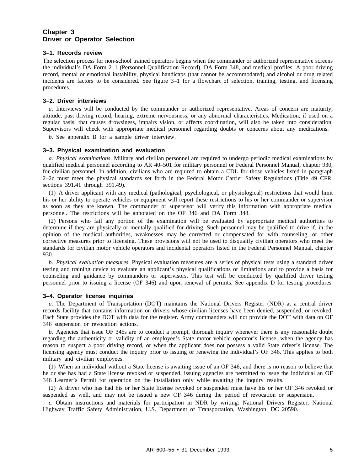# **Chapter 3 Driver or Operator Selection**

#### **3–1. Records review**

The selection process for non-school trained operators begins when the commander or authorized representative screens the individual's DA Form 2–1 (Personnel Qualification Record), DA Form 348, and medical profiles. A poor driving record, mental or emotional instability, physical handicaps (that cannot be accommodated) and alcohol or drug related incidents are factors to be considered. See figure 3–1 for a flowchart of selection, training, testing, and licensing procedures.

#### **3–2. Driver interviews**

*a.* Interviews will be conducted by the commander or authorized representative. Areas of concern are maturity, attitude, past driving record, hearing, extreme nervousness, or any abnormal characteristics. Medication, if used on a regular basis, that causes drowsiness, impairs vision, or affects coordination, will also be taken into consideration. Supervisors will check with appropriate medical personnel regarding doubts or concerns about any medications.

*b.* See appendix B for a sample driver interview.

#### **3–3. Physical examination and evaluation**

*a. Physical examinations.* Military and civilian personnel are required to undergo periodic medical examinations by qualified medical personnel according to AR 40–501 for military personnel or Federal Personnel Manual, chapter 930, for civilian personnel. In addition, civilians who are required to obtain a CDL for those vehicles listed in paragraph 2–2c must meet the physical standards set forth in the Federal Motor Carrier Safety Regulations (Title 49 CFR, sections 391.41 through 391.49).

(1) A driver applicant with any medical (pathological, psychological, or physiological) restrictions that would limit his or her ability to operate vehicles or equipment will report these restrictions to his or her commander or supervisor as soon as they are known. The commander or supervisor will verify this information with appropriate medical personnel. The restrictions will be annotated on the OF 346 and DA Form 348.

(2) Persons who fail any portion of the examination will be evaluated by appropriate medical authorities to determine if they are physically or mentally qualified for driving. Such personnel may be qualified to drive if, in the opinion of the medical authorities, weaknesses may be corrected or compensated for with counseling, or other corrective measures prior to licensing. These provisions will not be used to disqualify civilian operators who meet the standards for civilian motor vehicle operators and incidental operators listed in the Federal Personnel Manual, chapter 930.

*b. Physical evaluation measures.* Physical evaluation measures are a series of physical tests using a standard driver testing and training device to evaluate an applicant's physical qualifications or limitations and to provide a basis for counseling and guidance by commanders or supervisors. This test will be conducted by qualified driver testing personnel prior to issuing a license (OF 346) and upon renewal of permits. See appendix D for testing procedures.

#### **3–4. Operator license inquiries**

*a.* The Department of Transportation (DOT) maintains the National Drivers Register (NDR) at a central driver records facility that contains information on drivers whose civilian licenses have been denied, suspended, or revoked. Each State provides the DOT with data for the register. Army commanders will not provide the DOT with data on OF 346 suspension or revocation actions.

*b.* Agencies that issue OF 346s are to conduct a prompt, thorough inquiry whenever there is any reasonable doubt regarding the authenticity or validity of an employee's State motor vehicle operator's license, when the agency has reason to suspect a poor driving record, or when the applicant does not possess a valid State driver's license. The licensing agency must conduct the inquiry prior to issuing or renewing the individual's OF 346. This applies to both military and civilian employees.

(1) When an individual without a State license is awaiting issue of an OF 346, and there is no reason to believe that he or she has had a State license revoked or suspended, issuing agencies are permitted to issue the individual an OF 346 Learner's Permit for operation on the installation only while awaiting the inquiry results.

(2) A driver who has had his or her State license revoked or suspended must have his or her OF 346 revoked or suspended as well, and may not be issued a new OF 346 during the period of revocation or suspension.

*c.* Obtain instructions and materials for participation in NDR by writing: National Drivers Register, National Highway Traffic Safety Administration, U.S. Department of Transportation, Washington, DC 20590.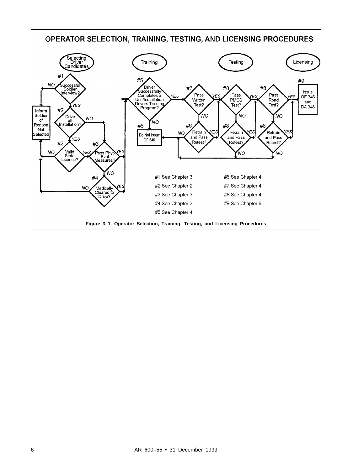# OPERATOR SELECTION, TRAINING, TESTING, AND LICENSING PROCEDURES

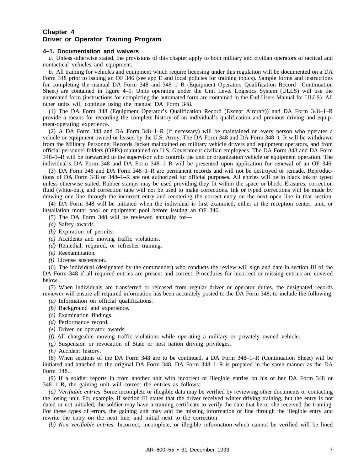# **Chapter 4 Driver or Operator Training Program**

#### **4–1. Documentation and waivers**

*a.* Unless otherwise stated, the provisions of this chapter apply to both military and civilian operators of tactical and nontactical vehicles and equipment.

*b.* All training for vehicles and equipment which require licensing under this regulation will be documented on a DA Form 348 prior to issuing an OF 346 (see app E and local policies for training topics). Sample forms and instructions for completing the manual DA Form 348 and 348–1–R (Equipment Operators Qualification Record—Continuation Sheet) are contained in figure 4–1. Units operating under the Unit Level Logistics System (ULLS) will use the automated form (instructions for completing the automated form are contained in the End Users Manual for ULLS). All other units will continue using the manual DA Form 348.

(1) The DA Form 348 (Equipment Operator's Qualification Record (Except Aircraft)) and DA Form 348–1–R provide a means for recording the complete history of an individual's qualification and previous driving and equipment-operating experience.

(2) A DA Form 348 and DA Form 348–1–R (if necessary) will be maintained on every person who operates a vehicle or equipment owned or leased by the U.S. Army. The DA Form 348 and DA Form 348–1–R will be withdrawn from the Military Personnel Records Jacket maintained on military vehicle drivers and equipment operators, and from official personnel folders (OPFs) maintained on U.S. Government civilian employees. The DA Form 348 and DA Form 348–1–R will be forwarded to the supervisor who controls the unit or organization vehicle or equipment operation. The individual's DA Form 348 and DA Form 348–1–R will be presented upon application for renewal of an OF 346.

(3) DA Form 348 and DA Form 348–1–R are permanent records and will not be destroyed or remade. Reproductions of DA Form 348 or 348–1–R are not authorized for official purposes. All entries will be in black ink or typed unless otherwise stated. Rubber stamps may be used providing they fit within the space or block. Erasures, correction fluid (white-out), and correction tape will not be used to make corrections. Ink or typed corrections will be made by drawing one line through the incorrect entry and reentering the correct entry on the next open line in that section.

(4) DA Form 348 will be initiated when the individual is first examined, either at the reception center, unit, or installation motor pool or equipment pool before issuing an OF 346.

- (5) The DA Form 348 will be reviewed annually for—
- *(a)* Safety awards.
- *(b)* Expiration of permits.
- *(c)* Accidents and moving traffic violations.
- *(d)* Remedial, required, or refresher training.
- *(e)* Reexamination.
- *(f)* License suspension.

(6) The individual (designated by the commander) who conducts the review will sign and date in section III of the DA Form 348 if all required entries are present and correct. Procedures for incorrect or missing entries are covered below.

(7) When individuals are transferred or released from regular driver or operator duties, the designated records reviewer will ensure all required information has been accurately posted to the DA Form 348, to include the following:

- *(a)* Information on official qualifications.
- *(b)* Background and experience.
- *(c)* Examination findings.
- *(d)* Performance record.
- *(e)* Driver or operator awards.
- *(f)* All chargeable moving traffic violations while operating a military or privately owned vehicle.
- *(g)* Suspension or revocation of State or host nation driving privileges.

*(h)* Accident history.

(8) When sections of the DA Form 348 are to be continued, a DA Form 348–1–R (Continuation Sheet) will be initiated and attached to the original DA Form 348. DA Form 348–1–R is prepared in the same manner as the DA Form 348.

(9) If a soldier reports in from another unit with incorrect or illegible entries on his or her DA Form 348 or 348–1–R, the gaining unit will correct the entries as follows:

*(a) Verifiable entries.* Some incomplete or illegible data may be verified by reviewing other documents or contacting the losing unit. For example, if section III states that the driver received winter driving training, but the entry is not dated or not initialed, the soldier may have a training certificate to verify the date that he or she received the training. For these types of errors, the gaining unit may add the missing information or line through the illegible entry and rewrite the entry on the next line, and initial next to the correction.

*(b) Non–verifiable entries.* Incorrect, incomplete, or illegible information which cannot be verified will be lined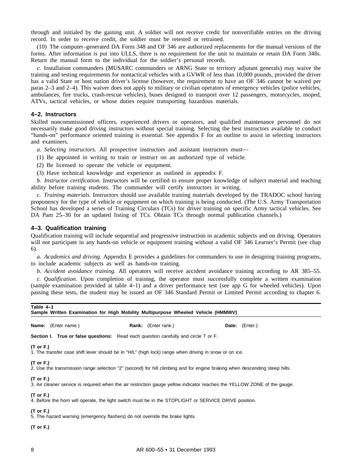through and initialed by the gaining unit. A soldier will not receive credit for nonverifiable entries on the driving record. In order to receive credit, the soldier must be retested or retrained.

(10) The computer–generated DA Form 348 and OF 346 are authorized replacements for the manual versions of the forms. After information is put into ULLS, there is no requirement for the unit to maintain or retain DA Form 348s. Return the manual form to the individual for the soldier's personal records.

*c.* Installation commanders (MUSARC commanders or ARNG State or territory adjutant generals) may waive the training and testing requirements for nontactical vehicles with a GVWR of less than 10,000 pounds, provided the driver has a valid State or host nation driver's license (however, the requirement to have an OF 346 cannot be waived per paras 2–3 and 2–4). This waiver does not apply to military or civilian operators of emergency vehicles (police vehicles, ambulances, fire trucks, crash-rescue vehicles), buses designed to transport over 12 passengers, motorcycles, moped, ATVs, tactical vehicles, or whose duties require transporting hazardous materials.

#### **4–2. Instructors**

Skilled noncommissioned officers, experienced drivers or operators, and qualified maintenance personnel do not necessarily make good driving instructors without special training. Selecting the best instructors available to conduct "hands-on" performance oriented training is essential. See appendix F for an outline to assist in selecting instructors and examiners.

*a. Selecting instructors.* All prospective instructors and assistant instructors must—

- (1) Be appointed in writing to train or instruct on an authorized type of vehicle.
- (2) Be licensed to operate the vehicle or equipment.
- (3) Have technical knowledge and experience as outlined in appendix F.

*b. Instructor certification.* Instructors will be certified to ensure proper knowledge of subject material and teaching ability before training students. The commander will certify instructors in writing.

*c. Training materials.* Instructors should use available training materials developed by the TRADOC school having proponency for the type of vehicle or equipment on which training is being conducted. (The U.S. Army Transportation School has developed a series of Training Circulars (TCs) for driver training on specific Army tactical vehicles. See DA Pam 25-30 for an updated listing of TCs. Obtain TCs through normal publication channels.)

#### **4–3. Qualification training**

Qualification training will include sequential and progressive instruction in academic subjects and on driving. Operators will not participate in any hands-on vehicle or equipment training without a valid OF 346 Learner's Permit (see chap 6).

*a. Academics and driving.* Appendix E provides a guidelines for commanders to use in designing training programs, to include academic subjects as well as hands-on training.

*b. Accident avoidance training.* All operators will receive accident avoidance training according to AR 385–55.

*c. Qualification.* Upon completion of training, the operator must successfully complete a written examination (sample examination provided at table 4–1) and a driver performance test (see app G for wheeled vehicles). Upon passing these tests, the student may be issued an OF 346 Standard Permit or Limited Permit according to chapter 6.

| Table 4–1<br>Sample Written Examination for High Mobility Multipurpose Wheeled Vehicle (HMMWV)                     |                            |                                                                                                                            |  |
|--------------------------------------------------------------------------------------------------------------------|----------------------------|----------------------------------------------------------------------------------------------------------------------------|--|
| Name: (Enter name.)                                                                                                | <b>Rank:</b> (Enter rank.) | <b>Date:</b> (Enter.)                                                                                                      |  |
| <b>Section I. True or false questions:</b> Read each question carefully and circle T or F.                         |                            |                                                                                                                            |  |
| (T or F.)<br>1. The transfer case shift lever should be in "H/L" (high lock) range when driving in snow or on ice. |                            |                                                                                                                            |  |
| (T or F.)                                                                                                          |                            | 2. Use the transmission range selection "2" (second) for hill climbing and for engine braking when descending steep hills. |  |
| (T or F.)                                                                                                          |                            | 3. Air cleaner service is required when the air restriction gauge yellow indicator reaches the YELLOW ZONE of the gauge.   |  |
| (T or F.)<br>4. Before the horn will operate, the light switch must be in the STOPLIGHT or SERVICE DRIVE position. |                            |                                                                                                                            |  |
| (T or F.)<br>5. The hazard warning (emergency flashers) do not override the brake lights.                          |                            |                                                                                                                            |  |
|                                                                                                                    |                            |                                                                                                                            |  |

**(T or F.)**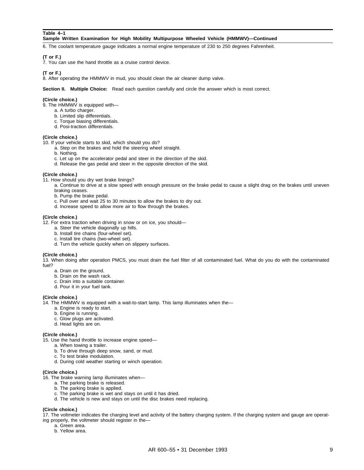#### **Table 4–1**

#### **Sample Written Examination for High Mobility Multipurpose Wheeled Vehicle (HMMWV)—Continued**

6. The coolant temperature gauge indicates a normal engine temperature of 230 to 250 degrees Fahrenheit.

# **(T or F.)**

7. You can use the hand throttle as a cruise control device.

#### **(T or F.)**

8. After operating the HMMWV in mud, you should clean the air cleaner dump valve.

**Section II. Multiple Choice:** Read each question carefully and circle the answer which is most correct.

#### **(Circle choice.)**

- 9. The HMMWV is equipped with
	- a. A turbo charger.
	- b. Limited slip differentials.
	- c. Torque biasing differentials.
	- d. Posi-traction differentials.

#### **(Circle choice.)**

10. If your vehicle starts to skid, which should you do?

- a. Step on the brakes and hold the steering wheel straight.
- b. Nothing.
- c. Let up on the accelerator pedal and steer in the direction of the skid.
- d. Release the gas pedal and steer in the opposite direction of the skid.

#### **(Circle choice.)**

- 11. How should you dry wet brake linings?
	- a. Continue to drive at a slow speed with enough pressure on the brake pedal to cause a slight drag on the brakes until uneven braking ceases.
	- b. Pump the brake pedal.
	- c. Pull over and wait 25 to 30 minutes to allow the brakes to dry out.
	- d. Increase speed to allow more air to flow through the brakes.

#### **(Circle choice.)**

12. For extra traction when driving in snow or on ice, you should—

- a. Steer the vehicle diagonally up hills.
- b. Install tire chains (four-wheel set).
- c. Install tire chains (two-wheel set).
- d. Turn the vehicle quickly when on slippery surfaces.

#### **(Circle choice.)**

13. When doing after operation PMCS, you must drain the fuel filter of all contaminated fuel. What do you do with the contaminated fuel?

- a. Drain on the ground.
- b. Drain on the wash rack.
- c. Drain into a suitable container.
- d. Pour it in your fuel tank.

#### **(Circle choice.)**

- 14. The HMMWV is equipped with a wait-to-start lamp. This lamp illuminates when the
	- a. Engine is ready to start.
	- b. Engine is running.
	- c. Glow plugs are activated.
	- d. Head lights are on.

#### **(Circle choice.)**

- 15. Use the hand throttle to increase engine speed
	- a. When towing a trailer.
		- b. To drive through deep snow, sand, or mud.
		- c. To test brake modulation.
	- d. During cold weather starting or winch operation.

#### **(Circle choice.)**

- 16. The brake warning lamp illuminates when
	- a. The parking brake is released.
	- b. The parking brake is applied.
	- c. The parking brake is wet and stays on until it has dried.
	- d. The vehicle is new and stays on until the disc brakes need replacing.

#### **(Circle choice.)**

17. The voltmeter indicates the charging level and activity of the battery charging system. If the charging system and gauge are operating properly, the voltmeter should register in the—

- a. Green area.
	- b. Yellow area.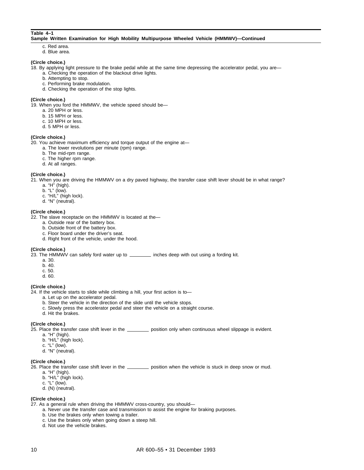#### **Table 4–1**

#### **Sample Written Examination for High Mobility Multipurpose Wheeled Vehicle (HMMWV)—Continued**

- c. Red area.
- d. Blue area.

#### **(Circle choice.)**

- 18. By applying light pressure to the brake pedal while at the same time depressing the accelerator pedal, you are
	- a. Checking the operation of the blackout drive lights.
		- b. Attempting to stop.
		- c. Performing brake modulation.
		- d. Checking the operation of the stop lights.

#### **(Circle choice.)**

19. When you ford the HMMWV, the vehicle speed should be—

- a. 20 MPH or less.
- b. 15 MPH or less.
- c. 10 MPH or less.
- d. 5 MPH or less.

#### **(Circle choice.)**

20. You achieve maximum efficiency and torque output of the engine at—

- a. The lower revolutions per minute (rpm) range.
- b. The mid-rpm range.
- c. The higher rpm range.
- d. At all ranges.

#### **(Circle choice.)**

21. When you are driving the HMMWV on a dry paved highway, the transfer case shift lever should be in what range?

- a. "H" (high).
- b. "L" (low).
- c. "H/L" (high lock).
- d. "N" (neutral).

#### **(Circle choice.)**

22. The slave receptacle on the HMMWV is located at the—

- a. Outside rear of the battery box.
- b. Outside front of the battery box.
- c. Floor board under the driver's seat.
- d. Right front of the vehicle, under the hood.

#### **(Circle choice.)**

23. The HMMWV can safely ford water up to **inches deep with out using a fording kit.** 

- a. 30.
- b. 40.
- c. 50.
- d. 60.

#### **(Circle choice.)**

- 24. If the vehicle starts to slide while climbing a hill, your first action is to
	- a. Let up on the accelerator pedal.
	- b. Steer the vehicle in the direction of the slide until the vehicle stops.
	- c. Slowly press the accelerator pedal and steer the vehicle on a straight course.
	- d. Hit the brakes.

#### **(Circle choice.)**

25. Place the transfer case shift lever in the position only when continuous wheel slippage is evident.

- a. "H" (high).
- b. "H/L" (high lock).
- c. "L" (low).
- d. "N" (neutral).

#### **(Circle choice.)**

26. Place the transfer case shift lever in the **process** position when the vehicle is stuck in deep snow or mud.

- a. "H" (high).
- b. "H/L" (high lock).
- c. "L" (low).
- d. (N) (neutral).

#### **(Circle choice.)**

- 27. As a general rule when driving the HMMWV cross-country, you should
	- a. Never use the transfer case and transmission to assist the engine for braking purposes.
	- b. Use the brakes only when towing a trailer.
	- c. Use the brakes only when going down a steep hill.
	- d. Not use the vehicle brakes.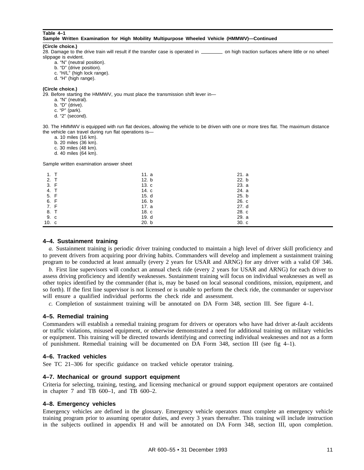#### **Table 4–1**

| Sample Written Examination for High Mobility Multipurpose Wheeled Vehicle (HMMWV)—Continued |  |  |  |  |  |  |  |  |
|---------------------------------------------------------------------------------------------|--|--|--|--|--|--|--|--|
|---------------------------------------------------------------------------------------------|--|--|--|--|--|--|--|--|

#### **(Circle choice.)**

28. Damage to the drive train will result if the transfer case is operated in \_\_\_\_\_\_\_\_\_\_ on high traction surfaces where little or no wheel slippage is evident.

- a. "N" (neutral position).
- b. "D" (drive position).
- c. "H/L" (high lock range).
- d. "H" (high range).

#### **(Circle choice.)**

29. Before starting the HMMWV, you must place the transmission shift lever in—

- a. "N" (neutral).
- b. "D" (drive).
- c. "P" (park).
- d. "2" (second).

30. The HMMWV is equipped with run flat devices, allowing the vehicle to be driven with one or more tires flat. The maximum distance the vehicle can travel during run flat operations is—

- a. 10 miles (16 km).
- b. 20 miles (36 km).
- c. 30 miles (48 km).
- d. 40 miles (64 km).

Sample written examination answer sheet

| 1. T  | 11. $a$ | 21. a |  |
|-------|---------|-------|--|
| 2. T  | 12. b   | 22. b |  |
| 3. F  | 13.c    | 23. a |  |
| 4. T  | 14. c   | 24. a |  |
| 5. F  | 15. d   | 25. b |  |
| 6. F  | 16. b   | 26. c |  |
| 7. F  | 17. a   | 27. d |  |
| 8. T  | 18. c   | 28. c |  |
| 9. c  | 19. d   | 29. a |  |
| 10. c | 20. b   | 30. c |  |

#### **4–4. Sustainment training**

*a.* Sustainment training is periodic driver training conducted to maintain a high level of driver skill proficiency and to prevent drivers from acquiring poor driving habits. Commanders will develop and implement a sustainment training program to be conducted at least annually (every 2 years for USAR and ARNG) for any driver with a valid OF 346.

*b.* First line supervisors will conduct an annual check ride (every 2 years for USAR and ARNG) for each driver to assess driving proficiency and identify weaknesses. Sustainment training will focus on individual weaknesses as well as other topics identified by the commander (that is, may be based on local seasonal conditions, mission, equipment, and so forth). If the first line supervisor is not licensed or is unable to perform the check ride, the commander or supervisor will ensure a qualified individual performs the check ride and assessment.

*c.* Completion of sustainment training will be annotated on DA Form 348, section III. See figure 4–1.

#### **4–5. Remedial training**

Commanders will establish a remedial training program for drivers or operators who have had driver at-fault accidents or traffic violations, misused equipment, or otherwise demonstrated a need for additional training on military vehicles or equipment. This training will be directed towards identifying and correcting individual weaknesses and not as a form of punishment. Remedial training will be documented on DA Form 348, section III (see fig 4–1).

#### **4–6. Tracked vehicles**

See TC 21–306 for specific guidance on tracked vehicle operator training.

#### **4–7. Mechanical or ground support equipment**

Criteria for selecting, training, testing, and licensing mechanical or ground support equipment operators are contained in chapter 7 and TB 600–1, and TB 600–2.

#### **4–8. Emergency vehicles**

Emergency vehicles are defined in the glossary. Emergency vehicle operators must complete an emergency vehicle training program prior to assuming operator duties, and every 3 years thereafter. This training will include instruction in the subjects outlined in appendix H and will be annotated on DA Form 348, section III, upon completion.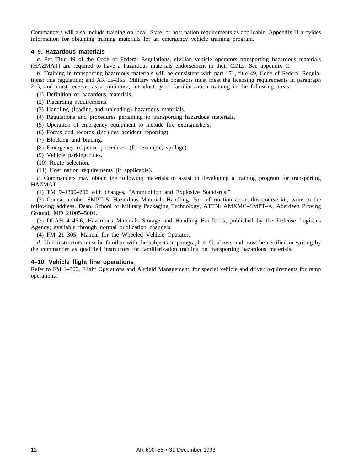Commanders will also include training on local, State, or host nation requirements as applicable. Appendix H provides information for obtaining training materials for an emergency vehicle training program.

#### **4–9. Hazardous materials**

*a.* Per Title 49 of the Code of Federal Regulations, civilian vehicle operators transporting hazardous materials (HAZMAT) are required to have a hazardous materials endorsement to their CDLs. See appendix C.

*b.* Training in transporting hazardous materials will be consistent with part 171, title 49, Code of Federal Regulations; this regulation; and AR 55–355. Military vehicle operators must meet the licensing requirements in paragraph 2–3, and must receive, as a minimum, introductory or familiarization training in the following areas:

- 
- (1) Definition of hazardous materials.
- (2) Placarding requirements.
- (3) Handling (loading and unloading) hazardous materials.
- (4) Regulations and procedures pertaining to transporting hazardous materials.
- (5) Operation of emergency equipment to include fire extinguishers.
- (6) Forms and records (includes accident reporting).
- (7) Blocking and bracing.
- (8) Emergency response procedures (for example, spillage).
- (9) Vehicle parking rules.
- (10) Route selection.
- (11) Host nation requirements (if applicable).

*c.* Commanders may obtain the following materials to assist in developing a training program for transporting HAZMAT:

(1) TM 9–1300–206 with changes, "Ammunition and Explosive Standards."

(2) Course number SMPT–5, Hazardous Materials Handling. For information about this course kit, write to the following address: Dean, School of Military Packaging Technology, ATTN: AMXMC–SMPT–A, Aberdeen Proving Ground, MD 21005–5001.

(3) DLAH 4145.6, Hazardous Materials Storage and Handling Handbook, published by the Defense Logistics Agency; available through normal publication channels.

(4) FM 21–305, Manual for the Wheeled Vehicle Operator.

*d.* Unit instructors must be familiar with the subjects in paragraph 4–9b above, and must be certified in writing by the commander as qualified instructors for familiarization training on transporting hazardous materials.

# **4–10. Vehicle flight line operations**

Refer to FM 1–300, Flight Operations and Airfield Management, for special vehicle and driver requirements for ramp operations.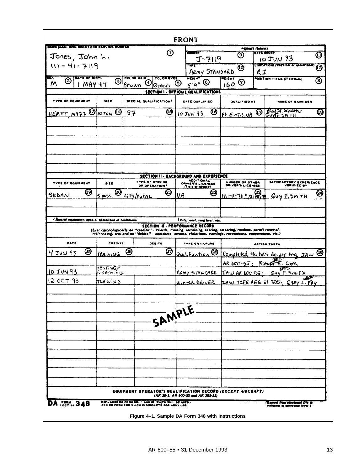|                                                       |                 |                        |                                                     | <b>FRONT</b>                                                                                                                                                                                            |        |                                      |                                                |   |
|-------------------------------------------------------|-----------------|------------------------|-----------------------------------------------------|---------------------------------------------------------------------------------------------------------------------------------------------------------------------------------------------------------|--------|--------------------------------------|------------------------------------------------|---|
| <b>MAIN (LAW, MOL. MINN) AND SERVICE NUMBER</b>       |                 |                        | $\textcircled{\scriptsize{1}}$                      | NUMBER                                                                                                                                                                                                  |        | <b>PERMIT (Initial)</b>              | DATE NAUES                                     |   |
| Jones, John L.                                        |                 |                        |                                                     | J-7119                                                                                                                                                                                                  |        | ⊚                                    | $10$ JUN $93$                                  | ⊕ |
| $111 - 41 - 7119$                                     |                 |                        |                                                     | रुकर                                                                                                                                                                                                    |        | $\boldsymbol{\omega}$                | СШТАТЮЩ (РОУНСЫ 61 БРАНИЛИ)                    | ❷ |
| <b>BLK</b><br><b>BATE OF BIRTH</b>                    |                 | COLOR HAIR             | COLOR EYES                                          | ARMY STANDARD<br><b>HEIGHT</b>                                                                                                                                                                          | WEIGHT | R1                                   |                                                |   |
| ➁<br>M                                                | ᠖<br>MAY 64     | ④<br>Brown             | lGreen                                              | $5'$ 9" $\odot$<br>$\left(5\right)$                                                                                                                                                                     | 160    | ℗                                    | POSITION TITLE (If civilian)                   | ⑧ |
|                                                       |                 |                        |                                                     | SECTION I - OFFICIAL QUALIFICATIONS                                                                                                                                                                     |        |                                      |                                                |   |
| TYPE OF EQUIPMENT                                     | SIZE            | SPECIAL QUALIFICATION! |                                                     | DATE QUALIFIED                                                                                                                                                                                          |        | QUALIFIED AT                         | <b>NAME OF EXAMINER</b>                        |   |
| $HEMTT$ M977 $\circledS$ 10 TON                       |                 | 57                     | ❻                                                   | ⑭<br><b>10 JUN 93</b>                                                                                                                                                                                   |        |                                      | Ft EUSTIS, UA @ GUYE SMITH                     | ଊ |
|                                                       |                 |                        |                                                     |                                                                                                                                                                                                         |        |                                      |                                                |   |
|                                                       |                 |                        |                                                     |                                                                                                                                                                                                         |        |                                      |                                                |   |
|                                                       |                 |                        |                                                     |                                                                                                                                                                                                         |        |                                      |                                                |   |
|                                                       |                 |                        |                                                     |                                                                                                                                                                                                         |        |                                      |                                                |   |
|                                                       |                 |                        |                                                     |                                                                                                                                                                                                         |        |                                      |                                                |   |
|                                                       |                 |                        |                                                     | SECTION II - BACKGROUND AND EXPERIENCE<br><b>ADDITIONAL</b>                                                                                                                                             |        |                                      |                                                |   |
| <b>TYPE OF EQUIPMENT</b>                              | size:           |                        | <b>TYPE OF DRIVING</b><br>OR OPERATION <sup>2</sup> | DRIVER'S LICENSES<br>(State or admcy)                                                                                                                                                                   |        | NUMBER OF OTHER<br>DRIVER'S LICENSES | <b>SATISFACTORY EXPERIENCE</b><br>VERIFIED BY  |   |
| ⑭<br>SEDAN                                            | $5$ pass.       | @ CITY/EVERL           | ❷                                                   | ල<br>VA                                                                                                                                                                                                 |        | $\frac{111.41-71.9}{31.807}$         | GUY E. SMITH                                   | ❷ |
|                                                       |                 |                        |                                                     |                                                                                                                                                                                                         |        |                                      |                                                |   |
| I Special equipment, apocial operations or conditions |                 |                        |                                                     |                                                                                                                                                                                                         |        |                                      |                                                |   |
|                                                       |                 |                        |                                                     |                                                                                                                                                                                                         |        |                                      |                                                |   |
|                                                       |                 |                        |                                                     | <sup>2</sup> City, rutel, lang haul, etc.<br><b>SECTION III - PERFORMANCE RECORD</b><br>(List chronologically as "credits" - exards, training, ratraining, teating, retesting, roadeos, permit renewal, |        |                                      |                                                |   |
|                                                       |                 |                        |                                                     | relicenamg, etc; and as "debite" - accidents, arresta, violations, warnings, revocations, auspensions, etc.)                                                                                            |        |                                      |                                                |   |
| DATE                                                  | <b>CREDITS</b>  |                        | <b>DEBITS</b>                                       | TYPE OR NATURE                                                                                                                                                                                          |        |                                      | <b>ACTION TAKEN</b>                            |   |
| ශි<br>$4$ JUN 93                                      | TRAINING        | ම                      | න                                                   | Qualification @                                                                                                                                                                                         |        |                                      | Completed 40 hrs driver try JAW @              |   |
|                                                       | <b>TESTIVEZ</b> |                        |                                                     |                                                                                                                                                                                                         |        |                                      | AR 600-55; RODEFE: COOK<br>লেন্স               |   |
| 10JUN93                                               | Licensin G      |                        |                                                     |                                                                                                                                                                                                         |        |                                      | ARMY STANDARD IAW AR LOC 55; GUY F. SMITH      |   |
| 12 OCT 93                                             | TRA N. VG       |                        |                                                     |                                                                                                                                                                                                         |        |                                      | WINTER DRIVER FAW TCFE REG 21-305, GARY L. FRY |   |
|                                                       |                 |                        |                                                     |                                                                                                                                                                                                         |        |                                      |                                                |   |
|                                                       |                 |                        |                                                     |                                                                                                                                                                                                         |        |                                      |                                                |   |
|                                                       |                 |                        |                                                     |                                                                                                                                                                                                         |        |                                      |                                                |   |
|                                                       |                 |                        | SAMPLE                                              |                                                                                                                                                                                                         |        |                                      |                                                |   |
|                                                       |                 |                        |                                                     |                                                                                                                                                                                                         |        |                                      |                                                |   |
|                                                       |                 |                        |                                                     |                                                                                                                                                                                                         |        |                                      |                                                |   |
|                                                       |                 |                        |                                                     |                                                                                                                                                                                                         |        |                                      |                                                |   |
|                                                       |                 |                        |                                                     |                                                                                                                                                                                                         |        |                                      |                                                |   |
|                                                       |                 |                        |                                                     |                                                                                                                                                                                                         |        |                                      |                                                |   |
|                                                       |                 |                        |                                                     | EQUIPMENT OPERATOR'S QUALIFICATION RECORD (EXCEPT AIRCRAPT).<br>(AR 58-1, AR 600-55 and AR 385-55)                                                                                                      |        |                                      |                                                |   |

**Figure 4–1. Sample DA Form 348 with Instructions**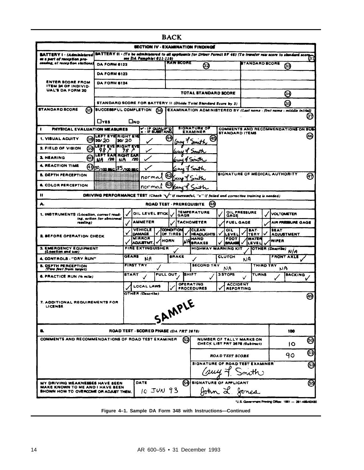| <b>BATTERY I - (Administered</b><br>at a part of reception pro-<br>cessing, at reception stations)<br><b>ENTER SCORE FROM</b><br><b>ITEM 24 OF INDIVID-</b><br><b>UAL'S DA FORM 20</b><br>STANDARD SCORE<br>ĠО<br>$\bullet$<br>PHYSICAL EVALUATION MEASURES<br>1. VISUAL ACUITY | BATTERY II . (To be administered to all applicants for Driver Permit SF 46) (To transfer raw score to standard score<br><b>DA FORM 6122</b><br><b>DA FORM 6123</b><br><b>DA FORM 6124</b><br>STANDARD SCORE FOR BATTERY II (Divide Total Standard Score by 3)<br>SUCCESSFUL COMPLETION<br><b>LIVES</b> |              | vee DA Pemphiet 611-119)               |        | <b>RAW SCORE</b>      |                | SECTION IV - EXAMINATION FINDINGS<br>⊗                                |                                |                | <b>STANDARD SCORE</b> |                         | ල                                    | (31  |
|---------------------------------------------------------------------------------------------------------------------------------------------------------------------------------------------------------------------------------------------------------------------------------|--------------------------------------------------------------------------------------------------------------------------------------------------------------------------------------------------------------------------------------------------------------------------------------------------------|--------------|----------------------------------------|--------|-----------------------|----------------|-----------------------------------------------------------------------|--------------------------------|----------------|-----------------------|-------------------------|--------------------------------------|------|
|                                                                                                                                                                                                                                                                                 |                                                                                                                                                                                                                                                                                                        |              |                                        |        |                       |                |                                                                       |                                |                |                       |                         |                                      |      |
|                                                                                                                                                                                                                                                                                 |                                                                                                                                                                                                                                                                                                        |              |                                        |        |                       |                |                                                                       |                                |                |                       |                         |                                      |      |
|                                                                                                                                                                                                                                                                                 |                                                                                                                                                                                                                                                                                                        |              |                                        |        |                       |                |                                                                       |                                |                |                       |                         |                                      |      |
|                                                                                                                                                                                                                                                                                 |                                                                                                                                                                                                                                                                                                        |              |                                        |        |                       |                |                                                                       |                                |                |                       |                         |                                      |      |
|                                                                                                                                                                                                                                                                                 |                                                                                                                                                                                                                                                                                                        |              |                                        |        |                       |                |                                                                       |                                |                |                       |                         |                                      |      |
|                                                                                                                                                                                                                                                                                 |                                                                                                                                                                                                                                                                                                        |              |                                        |        |                       |                | <b>TOTAL STANDARD SCORE</b>                                           |                                |                |                       |                         | ❷                                    |      |
|                                                                                                                                                                                                                                                                                 |                                                                                                                                                                                                                                                                                                        |              |                                        |        |                       |                |                                                                       |                                |                |                       |                         | 69                                   |      |
|                                                                                                                                                                                                                                                                                 |                                                                                                                                                                                                                                                                                                        |              |                                        | 66     |                       |                | EXAMINATION ADMINISTERED BY (Last name - first name - middle initial) |                                |                |                       |                         |                                      |      |
|                                                                                                                                                                                                                                                                                 |                                                                                                                                                                                                                                                                                                        | Омо          |                                        |        |                       |                |                                                                       |                                |                |                       |                         |                                      | (37  |
|                                                                                                                                                                                                                                                                                 |                                                                                                                                                                                                                                                                                                        |              | X - IF QUALIF'D                        |        |                       |                | <b>SIGNATURE OF</b><br>EXAMINER                                       |                                |                |                       |                         | COMMENTS AND RECOMMENDATIONS ON SUB- |      |
| (38)                                                                                                                                                                                                                                                                            | LEFT EYERIGHT EYE<br>20/20                                                                                                                                                                                                                                                                             | 20/ 20       |                                        |        | 64                    |                | (45                                                                   | <b>STANDARD ITEMS</b>          |                |                       |                         |                                      | (46) |
| 2. FIELD OF VISION<br>69                                                                                                                                                                                                                                                        | LEFT EYE IRIGHT EYE                                                                                                                                                                                                                                                                                    |              |                                        |        |                       | louw           |                                                                       |                                |                |                       |                         |                                      |      |
| <b>3. HEARING</b>                                                                                                                                                                                                                                                               | م 98<br>LEFT EAR RIGHT EAR                                                                                                                                                                                                                                                                             | 98 P         |                                        |        |                       |                |                                                                       |                                |                |                       |                         |                                      |      |
| ഌ<br><b>4. REACTION TIME</b>                                                                                                                                                                                                                                                    | NA /20                                                                                                                                                                                                                                                                                                 | /20<br>NA    |                                        |        |                       |                | Smith                                                                 |                                |                |                       |                         |                                      |      |
| (41)                                                                                                                                                                                                                                                                            | 30/100 asc 35 /100 asc                                                                                                                                                                                                                                                                                 |              |                                        |        |                       |                |                                                                       | SIGNATURE OF MEDICAL AUTHORITY |                |                       |                         |                                      |      |
| 5. DEPTH PERCEPTION                                                                                                                                                                                                                                                             |                                                                                                                                                                                                                                                                                                        |              | normal                                 |        | (42                   |                |                                                                       |                                |                |                       |                         |                                      | 47   |
| <b>6. COLOR PERCEPTION</b>                                                                                                                                                                                                                                                      |                                                                                                                                                                                                                                                                                                        |              | normal                                 |        |                       |                |                                                                       |                                |                |                       |                         |                                      |      |
| 11                                                                                                                                                                                                                                                                              | DRIVING PERFORMANCE TEST (Check 'V' if successful, "x" if failed and corrective training is needed)                                                                                                                                                                                                    |              |                                        |        |                       |                |                                                                       |                                |                |                       |                         |                                      |      |
| A.                                                                                                                                                                                                                                                                              |                                                                                                                                                                                                                                                                                                        |              |                                        |        |                       |                | ROAD TEST - PREREQUISITE<br>(48)                                      |                                |                |                       |                         |                                      |      |
| 1. INSTRUMENTS (Location, correct read-                                                                                                                                                                                                                                         |                                                                                                                                                                                                                                                                                                        |              | OIL LEVEL STICK                        |        |                       | <b>GAGE</b>    | <b>TEMPERATURE</b>                                                    | OIL PRESSURE<br>GAGE           |                |                       | <b>VOLTOMETER</b>       |                                      |      |
| reading)                                                                                                                                                                                                                                                                        | ing, action for abnormal                                                                                                                                                                                                                                                                               |              | AMMETER                                |        |                       |                | <b>TACHOMETER</b>                                                     | FUEL GAGE                      |                |                       |                         | AIR PRESEURE GAGE                    |      |
|                                                                                                                                                                                                                                                                                 |                                                                                                                                                                                                                                                                                                        | v            | <b>VEHICLE</b><br><b>DAMAGE</b>        |        | CONDITION<br>OF TIRES |                | <b>CLEAN</b><br><b>HEADLIGHTS</b>                                     | ᅌᄔ<br>LEVEL                    |                | BAT-<br><b>TERY</b>   | <b>SEAT</b>             | <b>ADJUSTMENT</b>                    |      |
| 2. BEFORE OPERATION CHECK                                                                                                                                                                                                                                                       |                                                                                                                                                                                                                                                                                                        |              | <b>MIRROR</b><br><b>ADJUSTMT</b>       |        | HORN                  |                | HANO<br><b>BRAKES</b>                                                 | FOOT<br>BRAKEE                 |                | WATEF<br><b>LEVEL</b> | WIPER                   |                                      |      |
| 3. EMERGENCY EQUIPMENT<br>(Location and use)                                                                                                                                                                                                                                    |                                                                                                                                                                                                                                                                                                        |              | <b>FIRE EXTINGUISHER</b>               |        |                       |                | <b>HIGHWAY WARNING KIT</b>                                            |                                |                |                       | <b>OTHER (Deacribe)</b> | N/A                                  |      |
| 4. CONTROLS - "DRY RUN"                                                                                                                                                                                                                                                         |                                                                                                                                                                                                                                                                                                        | GEARS        | NA                                     |        | <b>BRAKE</b>          |                | ✓                                                                     | <b>CLUTCH</b>                  | N <sub>A</sub> |                       | <b>FRONT AXLE</b>       |                                      |      |
| <b>5. DEPTH PERCEPTION</b><br>(Two feet from target)                                                                                                                                                                                                                            |                                                                                                                                                                                                                                                                                                        |              | <b>FIRST THY</b>                       |        |                       |                | <b>SECOND TRY</b>                                                     | NA                             |                | <b>THIRD TRY</b>      | NA                      |                                      |      |
| 6. PRACTICE RUN (% mile)                                                                                                                                                                                                                                                        |                                                                                                                                                                                                                                                                                                        | <b>START</b> |                                        |        | PULL OUT.             | <b>IS</b> HIFT |                                                                       | 3 STOPS                        |                | TURNS                 |                         | <b>BACKING</b>                       |      |
|                                                                                                                                                                                                                                                                                 |                                                                                                                                                                                                                                                                                                        |              | LOCAL LAWS                             |        |                       |                | OPERATING                                                             | <b>ACCIDENT</b>                |                |                       |                         |                                      |      |
|                                                                                                                                                                                                                                                                                 |                                                                                                                                                                                                                                                                                                        |              | OTHER (Describe)                       |        |                       |                | <b>PROCEDURES</b>                                                     | <b>REPORTING</b>               |                |                       |                         |                                      |      |
| 7. ADDITIONAL REQUIREMENTS FOR                                                                                                                                                                                                                                                  |                                                                                                                                                                                                                                                                                                        |              |                                        |        |                       |                |                                                                       |                                |                |                       |                         |                                      | ଊ    |
| <b>LICENSE</b>                                                                                                                                                                                                                                                                  |                                                                                                                                                                                                                                                                                                        |              |                                        | SAMPLE |                       |                |                                                                       |                                |                |                       |                         |                                      |      |
|                                                                                                                                                                                                                                                                                 |                                                                                                                                                                                                                                                                                                        |              |                                        |        |                       |                |                                                                       |                                |                |                       |                         |                                      |      |
|                                                                                                                                                                                                                                                                                 |                                                                                                                                                                                                                                                                                                        |              |                                        |        |                       |                |                                                                       |                                |                |                       |                         |                                      |      |
| a.                                                                                                                                                                                                                                                                              |                                                                                                                                                                                                                                                                                                        |              | ROAD TEST - SCORED PHASE (DA PRT 2678) |        |                       |                |                                                                       |                                |                |                       |                         | 100                                  |      |
| <b>COMMENTS AND RECOMMENDATIONS OF ROAD TEST EXAMINER</b>                                                                                                                                                                                                                       |                                                                                                                                                                                                                                                                                                        |              |                                        |        |                       | 62)            | NUMBER OF TALLY MARKS ON<br>CHECK LIST PRT 2678 (Subtract)            |                                |                |                       |                         | 10                                   | ම    |
|                                                                                                                                                                                                                                                                                 |                                                                                                                                                                                                                                                                                                        |              |                                        |        |                       |                |                                                                       |                                |                |                       |                         | 90                                   | O)   |
|                                                                                                                                                                                                                                                                                 |                                                                                                                                                                                                                                                                                                        |              |                                        |        |                       |                | <b>SIGNATURE OF ROAD TEST EXAMINER</b>                                | <b>ROAD TEST SCORE</b>         |                |                       |                         |                                      |      |
|                                                                                                                                                                                                                                                                                 |                                                                                                                                                                                                                                                                                                        |              |                                        |        |                       |                |                                                                       | Cauy 7 Smith                   |                |                       |                         |                                      | ම    |
| MY DRIVING WEAKNESSES HAVE SEEN                                                                                                                                                                                                                                                 |                                                                                                                                                                                                                                                                                                        |              | DATE                                   |        |                       |                | <b>54 SIGNATURE OF APPLICANT</b>                                      |                                |                |                       |                         |                                      | ඖ    |
| <b>MAKE KNOWN TO ME AND I HAVE BEEN</b><br>SHOWN HOW TO OVERCOME OR ADJUST THEM.                                                                                                                                                                                                |                                                                                                                                                                                                                                                                                                        |              | $10$ JUN 93                            |        |                       |                | John L. Jones                                                         |                                |                |                       |                         |                                      |      |

**Figure 4–1. Sample DA Form 348 with Instructions—Continued**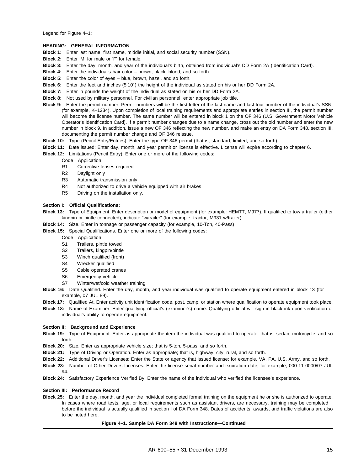Legend for Figure 4–1;

#### **HEADING: GENERAL INFORMATION**

- **Block 1:** Enter last name, first name, middle initial, and social security number (SSN).
- **Block 2:** Enter 'M' for male or 'F' for female.
- **Block 3:** Enter the day, month, and year of the individual's birth, obtained from individual's DD Form 2A (Identification Card).
- **Block 4:** Enter the individual's hair color brown, black, blond, and so forth.
- **Block 5:** Enter the color of eyes blue, brown, hazel, and so forth.
- **Block 6:** Enter the feet and inches (5′10″) the height of the individual as stated on his or her DD Form 2A.
- **Block 7:** Enter in pounds the weight of the individual as stated on his or her DD Form 2A.
- **Block 8:** Not used by military personnel. For civilian personnel, enter appropriate job title.
- **Block 9:** Enter the permit number. Permit numbers will be the first letter of the last name and last four number of the individual's SSN, (for example, K–1234). Upon completion of local training requirements and appropriate entries in section III, the permit number will become the license number. The same number will be entered in block 1 on the OF 346 (U.S. Government Motor Vehicle Operator's Identification Card). If a permit number changes due to a name change, cross out the old number and enter the new number in block 9. In addition, issue a new OF 346 reflecting the new number, and make an entry on DA Form 348, section III, documenting the permit number change and OF 346 reissue.
- **Block 10:** Type (Pencil Entry/Entries). Enter the type OF 346 permit (that is, standard, limited, and so forth).
- **Block 11:** Date issued: Enter day, month, and year permit or license is effective. License will expire according to chapter 6.
- **Block 12:** Limitations (Pencil Entry): Enter one or more of the following codes:
	- Code Application
	- R1 Corrective lenses required
	- R2 Daylight only
	- R3 Automatic transmission only
	- R4 Not authorized to drive a vehicle equipped with air brakes
	- R5 Driving on the installation only.

#### **Section I: Official Qualifications:**

- **Block 13:** Type of Equipment. Enter description or model of equipment (for example: HEMTT, M977). If qualified to tow a trailer (either kingpin or pintle connected), indicate "w/trailer" (for example, tractor, M931 w/trailer).
- **Block 14:** Size. Enter in tonnage or passenger capacity (for example, 10-Ton, 40-Pass)
- **Block 15:** Special Qualifications. Enter one or more of the following codes:
	- Code Application
	- S1 Trailers, pintle towed
	- S2 Trailers, kingpin/pintle
	- S3 Winch qualified (front)
	- S4 Wrecker qualified
	- S5 Cable operated cranes
	- S6 Emergency vehicle
	- S7 Winter/wet/cold weather training
- **Block 16:** Date Qualified. Enter the day, month, and year individual was qualified to operate equipment entered in block 13 (for example, 07 JUL 89).
- **Block 17:** Qualified At. Enter activity unit identification code, post, camp, or station where qualification to operate equipment took place.
- **Block 18:** Name of Examiner. Enter qualifying official's (examiner's) name. Qualifying official will sign in black ink upon verification of individual's ability to operate equipment.

#### **Section II: Background and Experience**

- **Block 19:** Type of Equipment. Enter as appropriate the item the individual was qualified to operate; that is, sedan, motorcycle, and so forth.
- **Block 20:** Size. Enter as appropriate vehicle size; that is 5-ton, 5-pass, and so forth.
- **Block 21:** Type of Driving or Operation. Enter as appropriate; that is, highway, city, rural, and so forth.
- **Block 22:** Additional Driver's Licenses: Enter the State or agency that issued license; for example, VA, PA, U.S. Army, and so forth.
- **Block 23:** Number of Other Drivers Licenses. Enter the license serial number and expiration date; for example, 000-11-0000/07 JUL 94.
- **Block 24:** Satisfactory Experience Verified By. Enter the name of the individual who verified the licensee's experience.

#### **Section III: Performance Record**

**Block 25:** Enter the day, month, and year the individual completed formal training on the equipment he or she is authorized to operate. In cases where road tests, age, or local requirements such as assistant drivers, are necessary, training may be completed before the individual is actually qualified in section I of DA Form 348. Dates of accidents, awards, and traffic violations are also to be noted here.

#### **Figure 4–1. Sample DA Form 348 with Instructions—Continued**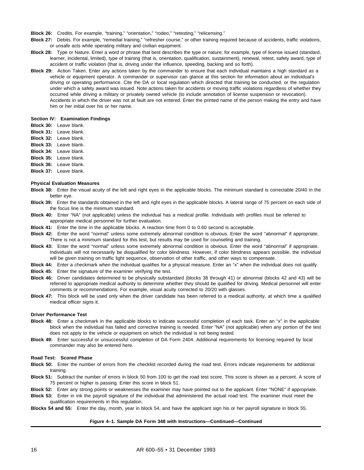**Block 26:** Credits. For example, "training," "orientation," "rodeo," "retesting," "relicensing."

- **Block 27:** Debits. For example, "remedial training," "refresher course," or other training required because of accidents, traffic violations, or unsafe acts while operating military and civilian equipment.
- **Block 28:** Type or Nature. Enter a word or phrase that best describes the type or nature; for example, type of license issued (standard, learner, incidental, limited), type of training (that is, orientation, qualification, sustainment), renewal, retest, safety award, type of accident or traffic violation (that is, driving under the influence, speeding, backing and so forth).
- **Block 29:** Action Taken. Enter any actions taken by the commander to ensure that each individual maintains a high standard as a vehicle or equipment operator. A commander or supervisor can glance at this section for information about an individual's driving or operating performance. Cite the DA or local regulation which directed that training be conducted, or the regulation under which a safety award was issued. Note actions taken for accidents or moving traffic violations regardless of whether they occurred while driving a military or privately owned vehicle (to include annotation of license suspension or revocation). Accidents in which the driver was not at fault are not entered. Enter the printed name of the person making the entry and have him or her initial over his or her name.

#### **Section IV: Examination Findings**

- **Block 30:** Leave blank.
- **Block 31:** Leave blank.
- **Block 32:** Leave blank.
- **Block 33:** Leave blank.
- **Block 34:** Leave blank.
- **Block 35:** Leave blank.
- **Block 36:** Leave blank.
- **Block 37:** Leave blank.

#### **Physical Evaluation Measures**

- **Block 38:** Enter the visual acuity of the left and right eyes in the applicable blocks. The minimum standard is correctable 20/40 in the better eye.
- **Block 39:** Enter the standards obtained in the left and right eyes in the applicable blocks. A lateral range of 75 percent on each side of the focus line is the minimum standard.
- **Block 40:** Enter "NA" (not applicable) unless the individual has a medical profile. Individuals with profiles must be referred to appropriate medical personnel for further evaluation.
- **Block 41:** Enter the time in the applicable blocks. A reaction time from 0 to 0.60 second is acceptable.
- **Block 42:** Enter the word "normal" unless some extremely abnormal condition is obvious. Enter the word "abnormal" if appropriate. There is not a minimum standard for this test, but results may be used for counseling and training.
- **Block 43:** Enter the word "normal" unless some extremely abnormal condition is obvious. Enter the word "abnormal" if appropriate. Individuals will not necessarily be disqualified for color blindness. However, if color blindness appears possible, the individual will be given training on traffic light sequence, observation of other traffic, and other ways to compensate.
- **Block 44:** Enter a checkmark when the individual qualifies for a physical measure. Enter an "x" when the individual does not qualify.
- **Block 45:** Enter the signature of the examiner verifying the test.
- **Block 46:** Driver candidates determined to be physically substandard (blocks 38 through 41) or abnormal (blocks 42 and 43) will be referred to appropriate medical authority to determine whether they should be qualified for driving. Medical personnel will enter comments or recommendations. For example, visual acuity corrected to 20/20 with glasses.
- **Block 47:** This block will be used only when the driver candidate has been referred to a medical authority, at which time a qualified medical officer signs it.

#### **Driver Performance Test**

- **Block 48:** Enter a checkmark in the applicable blocks to indicate successful completion of each task. Enter an "x" in the applicable block when the individual has failed and corrective training is needed. Enter "NA" (not applicable) when any portion of the test does not apply to the vehicle or equipment on which the individual is not being tested.
- **Block 49:** Enter successful or unsuccessful completion of DA Form 2404. Additional requirements for licensing required by local commander may also be entered here.

#### **Road Test: Scored Phase**

- **Block 50:** Enter the number of errors from the checklist recorded during the road test. Errors indicate requirements for additional training.
- **Block 51:** Subtract the number of errors in block 50 from 100 to get the road test score. This score is shown as a percent. A score of 75 percent or higher is passing. Enter this score in block 51.
- **Block 52:** Enter any strong points or weaknesses the examiner may have pointed out to the applicant. Enter "NONE" if appropriate.
- **Block 53:** Enter in ink the payroll signature of the individual that administered the actual road test. The examiner must meet the qualification requirements in this regulation.
- **Blocks 54 and 55:** Enter the day, month, year in block 54, and have the applicant sign his or her payroll signature in block 55.

#### **Figure 4–1. Sample DA Form 348 with Instructions—Continued—Continued**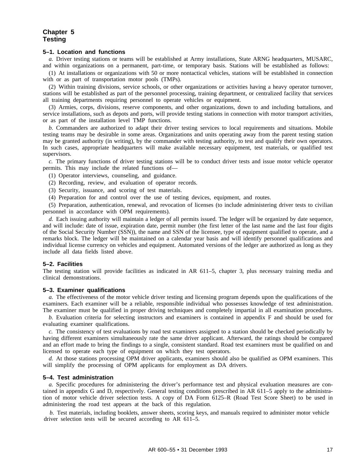# **Chapter 5 Testing**

#### **5–1. Location and functions**

*a.* Driver testing stations or teams will be established at Army installations, State ARNG headquarters, MUSARC, and within organizations on a permanent, part-time, or temporary basis. Stations will be established as follows:

(1) At installations or organizations with 50 or more nontactical vehicles, stations will be established in connection with or as part of transportation motor pools (TMPs).

(2) Within training divisions, service schools, or other organizations or activities having a heavy operator turnover, stations will be established as part of the personnel processing, training department, or centralized facility that services all training departments requiring personnel to operate vehicles or equipment.

(3) Armies, corps, divisions, reserve components, and other organizations, down to and including battalions, and service installations, such as depots and ports, will provide testing stations in connection with motor transport activities, or as part of the installation level TMP functions.

*b.* Commanders are authorized to adapt their driver testing services to local requirements and situations. Mobile testing teams may be desirable in some areas. Organizations and units operating away from the parent testing station may be granted authority (in writing), by the commander with testing authority, to test and qualify their own operators. In such cases, appropriate headquarters will make available necessary equipment, test materials, or qualified test supervisors.

*c.* The primary functions of driver testing stations will be to conduct driver tests and issue motor vehicle operator permits. This may include the related functions of—

- (1) Operator interviews, counseling, and guidance.
- (2) Recording, review, and evaluation of operator records.
- (3) Security, issuance, and scoring of test materials.
- (4) Preparation for and control over the use of testing devices, equipment, and routes.

(5) Preparation, authentication, renewal, and revocation of licenses (to include administering driver tests to civilian personnel in accordance with OPM requirements).

*d.* Each issuing authority will maintain a ledger of all permits issued. The ledger will be organized by date sequence, and will include: date of issue, expiration date, permit number (the first letter of the last name and the last four digits of the Social Security Number (SSN)), the name and SSN of the licensee, type of equipment qualified to operate, and a remarks block. The ledger will be maintained on a calendar year basis and will identify personnel qualifications and individual license currency on vehicles and equipment. Automated versions of the ledger are authorized as long as they include all data fields listed above.

#### **5–2. Facilities**

The testing station will provide facilities as indicated in AR 611–5, chapter 3, plus necessary training media and clinical demonstrations.

#### **5–3. Examiner qualifications**

*a.* The effectiveness of the motor vehicle driver testing and licensing program depends upon the qualifications of the examiners. Each examiner will be a reliable, responsible individual who possesses knowledge of test administration. The examiner must be qualified in proper driving techniques and completely impartial in all examination procedures.

*b.* Evaluation criteria for selecting instructors and examiners is contained in appendix F and should be used for evaluating examiner qualifications.

*c.* The consistency of test evaluations by road test examiners assigned to a station should be checked periodically by having different examiners simultaneously rate the same driver applicant. Afterward, the ratings should be compared and an effort made to bring the findings to a single, consistent standard. Road test examiners must be qualified on and licensed to operate each type of equipment on which they test operators.

*d.* At those stations processing OPM driver applicants, examiners should also be qualified as OPM examiners. This will simplify the processing of OPM applicants for employment as DA drivers.

#### **5–4. Test administration**

*a.* Specific procedures for administering the driver's performance test and physical evaluation measures are contained in appendix G and D, respectively. General testing conditions prescribed in AR 611–5 apply to the administration of motor vehicle driver selection tests. A copy of DA Form 6125–R (Road Test Score Sheet) to be used in administering the road test appears at the back of this regulation.

*b.* Test materials, including booklets, answer sheets, scoring keys, and manuals required to administer motor vehicle driver selection tests will be secured according to AR 611–5.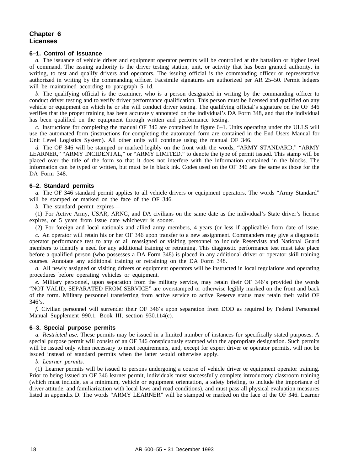#### **Chapter 6** driver selection tests will be selection to AR 611–5. *b.* Test materials, including booklets, answer sheets, scoring keys, and manuals required to administer motor vehicle

#### **6–1. Control of Issuance**

*a.* The issuance of vehicle driver and equipment operator permits will be controlled at the battalion or higher level of command. The issuing authority is the driver testing station, unit, or activity that has been granted authority, in writing, to test and qualify drivers and operators. The issuing official is the commanding officer or representative authorized in writing by the commanding officer. Facsimile signatures are authorized per AR 25–50. Permit ledgers will be maintained according to paragraph 5-1d.

b. The qualifying official is the examiner, who is a person designated in writing by the commanding officer to conduct driver testing and to verify driver performance qualification. This person must be licensed and qualified on any vehicle or equipment on which he or she will conduct driver testing. The qualifying official's signature on the OF 346 verifies that the proper training has been accurately annotated on the individual's DA Form 348, and that the individual has been qualified on the equipment through written and performance testing.

c. Instructions for completing the manual OF 346 are contained in figure 6-1. Units operating under the ULLS will use the automated form (instructions for completing the automated form are contained in the End Users Manual for Unit Level Logistics System). All other units will continue using the manual OF 346.

d. The OF 346 will be stamped or marked legibly on the front with the words, "ARMY STANDARD," "ARMY I. The GT 340 will be sumped of marked regiony on the front with the words, TRRNT STATOTING, TRRNT<br>LEARNER," "ARMY INCIDENTAL," or "ARMY LIMITED," to denote the type of permit issued. This stamp will be placed over the title of the form so that it does not interfere with the information contained in the blocks. The information can be typed or written, but must be in black ink. Codes used on the OF 346 are the same as those for the DA Form 348. Unit Logistics System). All other units with the manual continue using the manual OF 346.<br>DA Form 348.

# **6–2. Standard permits** The type of permits of permits of permitted, the type of permitted, the type of permitted, the type of permitted, the type of permitted, the type of permitted of permitted. This stamp will be a stam

a. The OF 346 standard permit applies to all vehicle drivers or equipment operators. The words "Army Standard" will be stamped or marked on the face of the OF 346.

*b*. The standard permit expires—

(1) For Active Army, USAR, ARNG, and DA civilians on the same date as the individual's State driver's license (1) For Active Ariny, USAR, ARING, and DA Civinalis expires, or 5 years from issue date whichever is sooner.

(2) For foreign and local nationals and allied army members, 4 years (or less if applicable) from date of issue. ( $\angle$ ) For foreign and focal nationals and affed army m

*c*. An operator will retain his or her OF 346 upon transfer to a new assignment. Commanders may give a diagnostic operator performance test to any or all reassigned or visiting personnel to include Reservists and National Guard operator performance lest to any of an reassigned or visiting personner to include Reservists and ivalidate Guard members to dentify a need for any additional training of fetraining. This diagnostic performance test must take place<br>before a qualified person (who possesses a DA Form 348) is placed in any additional driver or operator s courses. Annotate any additional training or retraining on the DA Form 348.

d. All newly assigned or visiting drivers or equipment operators will be instructed in local regulations and operating a. The newly assigned or visiting drivers or equipment operators will be instructed in focult regulations and operating procedures before operating vehicles or equipment.

e. Military personnel, upon separation from the military service, may retain their OF 346's provided the words e. Military personnel, upon separation from the infinitary service, may retain their Or 340 s provided the words<br>"NOT VALID, SEPARATED FROM SERVICE" are overstamped or otherwise legibly marked on the front and back of the form. Military personnel transferring from active service to active Reserve status may retain their valid OF 246's  $346's.$ COURSES. ANNOTATED FROM SERVICE are overstamped of otherwise

*f.* Civilian personnel will surrender their OF 346's upon separation from DOD as required by Federal Personnel Manual Supplement 990.1, Book III, section 930.114(c).  $\mu$ . **Extrinuity personnel, with service included** the military separation from DOD as required by retactant resonnel.

# of the form. Military personnel transferring from a service to active service to active service to active service to active service to active service status may retain the service status may retain the service status may r

*a. Restricted use.* These permits may be issued in a limited number of instances for specifically stated purposes. A special purpose permit will consist of an OF 346 conspicuously stamped with the appropriate designation. Such permits will be issued only when necessary to meet requirements, and, except for expert driver or operator permits, will not be issued instead of standard permits when the latter would otherwise apply.

#### *b. Learner permits.*

0. Learner permits.<br>(1) Learner permits will be issued to persons undergoing a course of vehicle driver or equipment operator training. Prior to being issued an OF 346 learner permit, individuals must successfully complete introductory classroom training (which must include, as a minimum, vehicle or equipment orientation, a safety briefing, to include the importance of driver attitude, and familiarization with local laws and road conditions), and must pass all physical evaluation measures diver autude, and rainmarization with local laws and road conditions), and must pass an physical evaluation measures<br>Iisted in appendix D. The words "ARMY LEARNER" will be stamped or marked on the face of the OF 346. Learn  $\frac{1}{1}$  Learner permits will be issued to persons undergoing a course of venicle driver or equipment operator training. (1) Learner persons with the interest with the sumplement matrix of the race of the Or 540. Bearing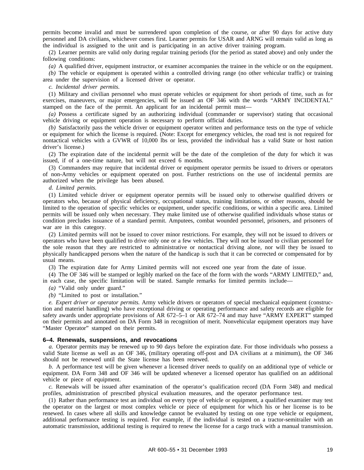permits become invalid and must be surrendered upon completion of the course, or after 90 days for active duty personnel and DA civilians, whichever comes first. Learner permits for USAR and ARNG will remain valid as long as the individual is assigned to the unit and is participating in an active driver training program.

(2) Learner permits are valid only during regular training periods (for the period as stated above) and only under the following conditions:

*(a)* A qualified driver, equipment instructor, or examiner accompanies the trainee in the vehicle or on the equipment.

*(b)* The vehicle or equipment is operated within a controlled driving range (no other vehicular traffic) or training area under the supervision of a licensed driver or operator.

*c. Incidental driver permits.*

(1) Military and civilian personnel who must operate vehicles or equipment for short periods of time, such as for exercises, maneuvers, or major emergencies, will be issued an OF 346 with the words "ARMY INCIDENTAL" stamped on the face of the permit. An applicant for an incidental permit must—

*(a)* Possess a certificate signed by an authorizing individual (commander or supervisor) stating that occasional vehicle driving or equipment operation is necessary to perform official duties.

*(b)* Satisfactorily pass the vehicle driver or equipment operator written and performance tests on the type of vehicle or equipment for which the license is required. (Note: Except for emergency vehicles, the road test is not required for nontactical vehicles with a GVWR of 10,000 lbs or less, provided the individual has a valid State or host nation driver's license.)

(2) The expiration date of the incidental permit will be the date of the completion of the duty for which it was issued, if of a one-time nature, but will not exceed 6 months.

(3) Commanders may require that incidental driver or equipment operator permits be issued to drivers or operators of non-Army vehicles or equipment operated on post. Further restrictions on the use of incidental permits are authorized when the privilege has been abused.

#### *d. Limited permits.*

(1) Limited vehicle driver or equipment operator permits will be issued only to otherwise qualified drivers or operators who, because of physical deficiency, occupational status, training limitations, or other reasons, should be limited to the operation of specific vehicles or equipment, under specific conditions, or within a specific area. Limited permits will be issued only when necessary. They make limited use of otherwise qualified individuals whose status or condition precludes issuance of a standard permit. Amputees, combat wounded personnel, prisoners, and prisoners of war are in this category.

(2) Limited permits will not be issued to cover minor restrictions. For example, they will not be issued to drivers or operators who have been qualified to drive only one or a few vehicles. They will not be issued to civilian personnel for the sole reason that they are restricted to administrative or nontactical driving alone, nor will they be issued to physically handicapped persons when the nature of the handicap is such that it can be corrected or compensated for by usual means.

(3) The expiration date for Army Limited permits will not exceed one year from the date of issue.

(4) The OF 346 will be stamped or legibly marked on the face of the form with the words "ARMY LIMITED," and, in each case, the specific limitation will be stated. Sample remarks for limited permits include—

*(a)* "Valid only under guard."

*(b)* "Limited to post or installation."

*e. Expert driver or operator permits.* Army vehicle drivers or operators of special mechanical equipment (construction and materiel handling) who have exceptional driving or operating performance and safety records are eligible for safety awards under appropriate provisions of AR 672–5–1 or AR 672–74 and may have "ARMY EXPERT" stamped on their permits and annotated on DA Form 348 in recognition of merit. Nonvehicular equipment operators may have "Master Operator" stamped on their permits.

#### **6–4. Renewals, suspensions, and revocations**

*a.* Operator permits may be renewed up to 90 days before the expiration date. For those individuals who possess a valid State license as well as an OF 346, (military operating off-post and DA civilians at a minimum), the OF 346 should not be renewed until the State license has been renewed.

*b.* A performance test will be given whenever a licensed driver needs to qualify on an additional type of vehicle or equipment. DA Form 348 and OF 346 will be updated whenever a licensed operator has qualified on an additional vehicle or piece of equipment.

*c.* Renewals will be issued after examination of the operator's qualification record (DA Form 348) and medical profiles, administration of prescribed physical evaluation measures, and the operator performance test.

(1) Rather than performance test an individual on every type of vehicle or equipment, a qualified examiner may test the operator on the largest or most complex vehicle or piece of equipment for which his or her license is to be renewed. In cases where all skills and knowledge cannot be evaluated by testing on one type vehicle or equipment, additional performance testing is required. For example, if the individual is tested on a tractor-semitrailer with an automatic transmission, additional testing is required to renew the license for a cargo truck with a manual transmission.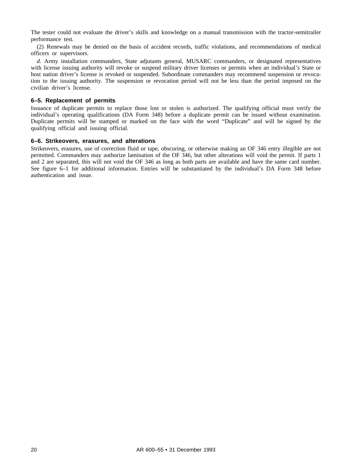The tester could not evaluate the driver's skills and knowledge on a manual transmission with the tractor-semitrailer performance test.

(2) Renewals may be denied on the basis of accident records, traffic violations, and recommendations of medical officers or supervisors.

*d.* Army installation commanders, State adjutants general, MUSARC commanders, or designated representatives with license issuing authority will revoke or suspend military driver licenses or permits when an individual's State or host nation driver's license is revoked or suspended. Subordinate commanders may recommend suspension or revocation to the issuing authority. The suspension or revocation period will not be less than the period imposed on the civilian driver's license.

#### **6–5. Replacement of permits**

Issuance of duplicate permits to replace those lost or stolen is authorized. The qualifying official must verify the individual's operating qualifications (DA Form 348) before a duplicate permit can be issued without examination. Duplicate permits will be stamped or marked on the face with the word "Duplicate" and will be signed by the qualifying official and issuing official.

#### **6–6. Strikeovers, erasures, and alterations**

Strikeovers, erasures, use of correction fluid or tape, obscuring, or otherwise making an OF 346 entry illegible are not permitted. Commanders may authorize lamination of the OF 346, but other alterations will void the permit. If parts 1 and 2 are separated, this will not void the OF 346 as long as both parts are available and have the same card number. See figure 6–1 for additional information. Entries will be substantiated by the individual's DA Form 348 before authentication and issue.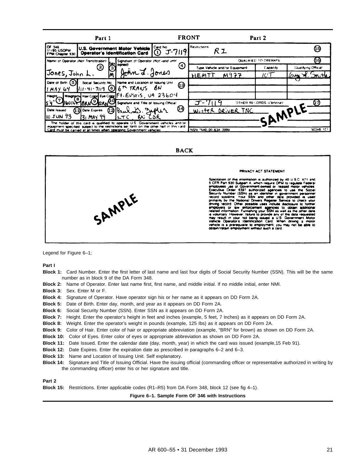|                                                 | Part 1                         |                                                                                                                                                                               |                        | <b>FRONT</b>         |                               | Part 2                  |                      |
|-------------------------------------------------|--------------------------------|-------------------------------------------------------------------------------------------------------------------------------------------------------------------------------|------------------------|----------------------|-------------------------------|-------------------------|----------------------|
| OF 346<br>11/85 USOPM<br><b>FPM Chapter 930</b> |                                | U.S. Government Mator Vehicle<br>Operator's Identification Card                                                                                                               | Card No.<br>$T - 7119$ | Restrictions         | R 1                           |                         |                      |
| Name of Operator (Not Transferable)             |                                | Signature of Operator (Not valid until                                                                                                                                        |                        |                      |                               | QUALIFIED TO OPERATE    | (16)                 |
|                                                 | (2)                            | <b>PEZI signedi</b>                                                                                                                                                           | (4)                    |                      | Type Vehicle and/or Equipment | <b>Capacity</b>         | Clualifying Official |
| Jones, John L.                                  |                                | John J. Jones                                                                                                                                                                 |                        | HEMT                 | M977                          | 7C T                    |                      |
| Date of Birth (5)                               |                                | Social Security No. Name and Location of Issuing Unit                                                                                                                         | ଊ                      |                      |                               |                         |                      |
| may 64                                          |                                | $111 - 41 - 7119$ $616$ <sup>th</sup> TRANS $8N$<br>Height Weight Har Color Eve Color Ft. EUSTIS, UA 23604                                                                    |                        |                      |                               |                         |                      |
|                                                 |                                | 1601b BANC GANCY Signature and Title of Issuing Official                                                                                                                      |                        |                      |                               | OTHER RECORDS (Ophonal) | <u>୍ୱ ଓ</u>          |
| Date Issued                                     | $\Omega$ Date Expires $\Omega$ | Paulis: sepler                                                                                                                                                                | (14)                   |                      | Winter DRIVER TNG             |                         | MPLE                 |
| $\log$ JUN 93                                   | 131 MAY 99                     | – BN ⊺<br><b>LTC</b>                                                                                                                                                          |                        |                      |                               |                         |                      |
|                                                 |                                | The holder of this card is qualified to operate U.S. Government vehicles and/or<br>equipment specified, subject to the restrictions set forth on the other half of this card. |                        |                      |                               |                         |                      |
|                                                 |                                | Card must be carried at all times when operating Government vehicles                                                                                                          |                        | NSN 7540-00-634-3999 |                               |                         | 50346 101            |



#### PRIVACY ACT STATEMENT

Solectation of the information is authorized by 40 U.S.C. 471 and<br>5 OFR Part 300 Subpert A, which require OPM to regulate Federal<br>employees use of Government-comed or -leased motor vehicles<br>Executive. Order 9397, authoriz vehicle is a prerequisite to employment, you may not.<br>obtain/retain employment without such a card 'n.

Legend for Figure 6–1;

**Part I**

- **Block 1:** Card Number. Enter the first letter of last name and last four digits of Social Security Number (SSN). This will be the same number as in block 9 of the DA Form 348.
- **Block 2:** Name of Operator. Enter last name first, first name, and middle initial. If no middle initial, enter NMI.
- **Block 3:** Sex. Enter M or F.
- **Block 4:** Signature of Operator. Have operator sign his or her name as it appears on DD Form 2A.
- **Block 5:** Date of Birth. Enter day, month, and year as it appears on DD Form 2A.
- **Block 6:** Social Security Number (SSN). Enter SSN as it appears on DD Form 2A.
- **Block 7:** Height. Enter the operator's height in feet and inches (example, 5 feet, 7 inches) as it appears on DD Form 2A.
- **Block 8:** Weight. Enter the operator's weight in pounds (example, 125 Ibs) as it appears on DD Form 2A.
- **Block 9:** Color of Hair. Enter color of hair or appropriate abbreviation (example, "BRN" for brown) as shown on DD Form 2A.
- **Block 10:** Color of Eyes. Enter color of eyes or appropriate abbreviation as shown on DD Form 2A.
- **Block 11:** Date Issued. Enter the calendar date (day, month, year) in which the card was issued (example,15 Feb 91).
- **Block 12:** Date Expires. Enter the expiration date as prescribed in paragraphs 6–2 and 6–3.
- **Block 13:** Name and Location of Issuing Unit. Self explanatory.

SAMPLE

**Block 14:** Signature and Title of Issuing Official. Have the issuing official (commanding officer or representative authorized in writing by the commanding officer) enter his or her signature and title.

**Part 2**

**Block 15:** Restrictions. Enter applicable codes (R1–R5) from DA Form 348, block 12 (see fig 4–1).

**Figure 6–1. Sample Form OF 346 with Instructions**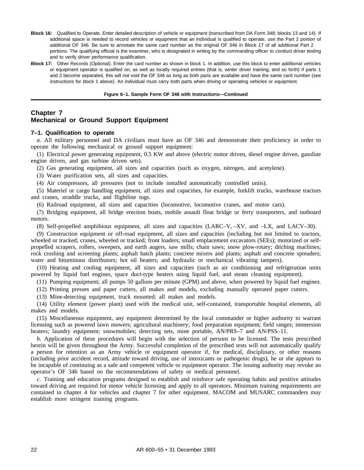- **Block 16:** Qualified to Operate. Enter detailed description of vehicle or equipment (transcribed from DA Form 348; blocks 13 and 14). If additional space is needed to record vehicles or equipment that an individual is qualified to operate, use the Part 2 portion of additional OF 346. Be sure to annotate the same card number as the original OF 346 in Block 17 of all additional Part 2 portions. The qualifying official is the examiner, who is designated in writing by the commanding officer to conduct driver testing and to verify driver performance qualification.
- **Block 17:** Other Records (Optional). Enter the card number as shown in block 1. In addition, use this block to enter additional vehicles or equipment operator is qualified on, as well as locally required entries (that is, winter driver training, and so forth) If parts 1 and 2 become separated, this will not void the OF 346 as long as both parts are available and have the same card number (see instructions for block 1 above). An individual must carry both parts when driving or operating vehicles or equipment.

#### **Figure 6–1. Sample Form OF 346 with Instructions—Continued**

# **Chapter 7 Mechanical or Ground Support Equipment**

#### **7–1. Qualification to operate**

*a.* All military personnel and DA civilians must have an OF 346 and demonstrate their proficiency in order to operate the following mechanical or ground support equipment:

(1) Electrical power generating equipment, 0.5 KW and above (electric motor driven, diesel engine driven, gasoline engine driven, and gas turbine driven sets).

(2) Gas generating equipment, all sizes and capacities (such as oxygen, nitrogen, and acetylene).

(3) Water purification sets, all sizes and capacities.

(4) Air compressors, all pressures (not to include installed automatically controlled units).

(5) Materiel or cargo handling equipment, all sizes and capacities, for example, forklift trucks, warehouse tractors and cranes, straddle trucks, and flightline tugs.

(6) Railroad equipment, all sizes and capacities (locomotive, locomotive cranes, and motor cars).

(7) Bridging equipment, all bridge erection boats, mobile assault float bridge or ferry transporters, and outboard motors.

(8) Self-propelled amphibious equipment, all sizes and capacities (LARC–V, –XV, and –LX, and LACV–30).

(9) Construction equipment or off-road equipment, all sizes and capacities (including but not limited to tractors, wheeled or tracked; cranes, wheeled or tracked; front loaders; small emplacement excavators (SEEs); motorized or selfpropelled scrapers, rollers, sweepers, and earth augers, saw mills; chain saws; snow plow-rotary; ditching machines; rock crushing and screening plants; asphalt batch plants; concrete mixers and plants; asphalt and concrete spreaders; water and bituminous distributors; hot oil heaters; and hydraulic or mechanical vibrating tampers).

(10) Heating and cooling equipment, all sizes and capacities (such as air conditioning and refrigeration units powered by liquid fuel engines, space duct-type heaters using liquid fuel, and steam cleaning equipment).

(11) Pumping equipment; all pumps 50 gallons per minute (GPM) and above, when powered by liquid fuel engines.

(12) Printing presses and paper cutters, all makes and models, excluding manually operated paper cutters.

(13) Mine-detecting equipment, truck mounted; all makes and models.

(14) Utility element (power plant) used with the medical unit, self-contained, transportable hospital elements, all makes and models.

(15) Miscellaneous equipment, any equipment determined by the local commander or higher authority to warrant licensing such as powered lawn mowers; agricultural machinery; food preparation equipment; field ranges; immersion heaters; laundry equipment; snowmobiles; detecting sets, mine portable, AN/PRS–7 and AN/PSS–11.

*b.* Application of these procedures will begin with the selection of persons to be licensed. The tests prescribed herein will be given throughout the Army. Successful completion of the prescribed tests will not automatically qualify a person for retention as an Army vehicle or equipment operator if, for medical, disciplinary, or other reasons (including prior accident record, attitude toward driving, use of intoxicants or pathogenic drugs), he or she appears to be incapable of continuing as a safe and competent vehicle or equipment operator. The issuing authority may revoke an operator's OF 346 based on the recommendations of safety or medical personnel.

*c.* Training and education programs designed to establish and reinforce safe operating habits and positive attitudes toward driving are required for motor vehicle licensing and apply to all operators. Minimum training requirements are contained in chapter 4 for vehicles and chapter 7 for other equipment. MACOM and MUSARC commanders may establish more stringent training programs.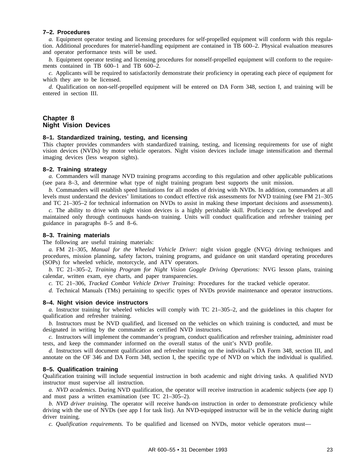#### **7–2. Procedures**

*a.* Equipment operator testing and licensing procedures for self-propelled equipment will conform with this regulation. Additional procedures for materiel-handling equipment are contained in TB 600–2. Physical evaluation measures and operator performance tests will be used.

*b.* Equipment operator testing and licensing procedures for nonself-propelled equipment will conform to the requirements contained in TB 600–1 and TB 600–2.

*c.* Applicants will be required to satisfactorily demonstrate their proficiency in operating each piece of equipment for which they are to be licensed.

*d.* Qualification on non-self-propelled equipment will be entered on DA Form 348, section I, and training will be entered in section III.

# **Chapter 8 Night Vision Devices**

#### **8–1. Standardized training, testing, and licensing**

This chapter provides commanders with standardized training, testing, and licensing requirements for use of night vision devices (NVDs) by motor vehicle operators. Night vision devices include image intensification and thermal imaging devices (less weapon sights).

#### **8–2. Training strategy**

*a.* Commanders will manage NVD training programs according to this regulation and other applicable publications (see para 8–3, and determine what type of night training program best supports the unit mission.

*b.* Commanders will establish speed limitations for all modes of driving with NVDs. In addition, commanders at all levels must understand the devices' limitations to conduct effective risk assessments for NVD training (see FM 21–305 and TC 21–305–2 for technical information on NVDs to assist in making these important decisions and assessments).

*c.* The ability to drive with night vision devices is a highly perishable skill. Proficiency can be developed and maintained only through continuous hands-on training. Units will conduct qualification and refresher training per guidance in paragraphs 8–5 and 8–6.

# **8–3. Training materials**

The following are useful training materials:

*a.* FM 21–305, *Manual for the Wheeled Vehicle Driver:* night vision goggle (NVG) driving techniques and procedures, mission planning, safety factors, training programs, and guidance on unit standard operating procedures (SOPs) for wheeled vehicle, motorcycle, and ATV operators.

*b.* TC 21–305–2, *Training Program for Night Vision Goggle Driving Operations:* NVG lesson plans, training calendar, written exam, eye charts, and paper transparencies.

*c.* TC 21–306, *Tracked Combat Vehicle Driver Training:* Procedures for the tracked vehicle operator.

*d.* Technical Manuals (TMs) pertaining to specific types of NVDs provide maintenance and operator instructions.

# **8–4. Night vision device instructors**

*a.* Instructor training for wheeled vehicles will comply with TC 21–305–2, and the guidelines in this chapter for qualification and refresher training.

*b.* Instructors must be NVD qualified, and licensed on the vehicles on which training is conducted, and must be designated in writing by the commander as certified NVD instructors.

*c.* Instructors will implement the commander's program, conduct qualification and refresher training, administer road tests, and keep the commander informed on the overall status of the unit's NVD profile.

*d.* Instructors will document qualification and refresher training on the individual's DA Form 348, section III, and annotate on the OF 346 and DA Form 348, section I, the specific type of NVD on which the individual is qualified.

#### **8–5. Qualification training**

Qualification training will include sequential instruction in both academic and night driving tasks. A qualified NVD instructor must supervise all instruction.

*a. NVD academics.* During NVD qualification, the operator will receive instruction in academic subjects (see app I) and must pass a written examination (see TC 21–305–2).

*b. NVD driver training.* The operator will receive hands-on instruction in order to demonstrate proficiency while driving with the use of NVDs (see app I for task list). An NVD-equipped instructor will be in the vehicle during night driver training.

*c. Qualification requirements.* To be qualified and licensed on NVDs, motor vehicle operators must—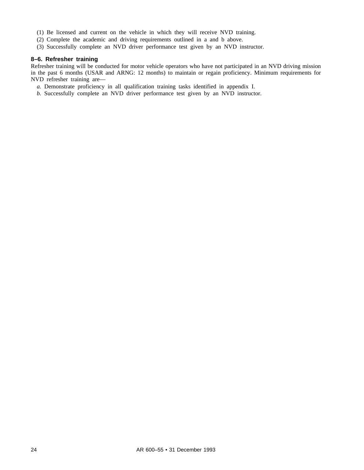- (1) Be licensed and current on the vehicle in which they will receive NVD training.
- (2) Complete the academic and driving requirements outlined in a and b above.
- (3) Successfully complete an NVD driver performance test given by an NVD instructor.

# **8–6. Refresher training**

Refresher training will be conducted for motor vehicle operators who have not participated in an NVD driving mission in the past 6 months (USAR and ARNG: 12 months) to maintain or regain proficiency. Minimum requirements for NVD refresher training are—

*a.* Demonstrate proficiency in all qualification training tasks identified in appendix I.

*b.* Successfully complete an NVD driver performance test given by an NVD instructor.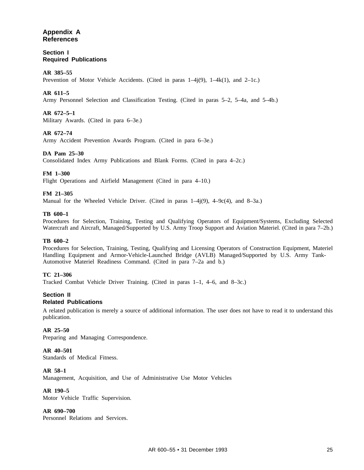# **Appendix A References**

**Section I Required Publications**

#### **AR 385–55**

Prevention of Motor Vehicle Accidents. (Cited in paras  $1-4i(9)$ ,  $1-4k(1)$ , and  $2-1c$ .)

#### **AR 611–5**

Army Personnel Selection and Classification Testing. (Cited in paras 5–2, 5–4a, and 5–4b.)

#### **AR 672–5–1**

Military Awards. (Cited in para 6–3e.)

#### **AR 672–74**

Army Accident Prevention Awards Program. (Cited in para 6–3e.)

#### **DA Pam 25–30**

Consolidated Index Army Publications and Blank Forms. (Cited in para 4–2c.)

#### **FM 1–300**

Flight Operations and Airfield Management (Cited in para 4–10.)

#### **FM 21–305**

Manual for the Wheeled Vehicle Driver. (Cited in paras 1–4j(9), 4–9c(4), and 8–3a.)

#### **TB 600–1**

Procedures for Selection, Training, Testing and Qualifying Operators of Equipment/Systems, Excluding Selected Watercraft and Aircraft, Managed/Supported by U.S. Army Troop Support and Aviation Materiel. (Cited in para 7–2b.)

#### **TB 600–2**

Procedures for Selection, Training, Testing, Qualifying and Licensing Operators of Construction Equipment, Materiel Handling Equipment and Armor-Vehicle-Launched Bridge (AVLB) Managed/Supported by U.S. Army Tank-Automotive Materiel Readiness Command. (Cited in para 7–2a and b.)

#### **TC 21–306**

Tracked Combat Vehicle Driver Training. (Cited in paras 1–1, 4–6, and 8–3c.)

#### **Section II Related Publications**

A related publication is merely a source of additional information. The user does not have to read it to understand this publication.

#### **AR 25–50**

Preparing and Managing Correspondence.

#### **AR 40–501**

Standards of Medical Fitness.

# **AR 58–1**

Management, Acquisition, and Use of Administrative Use Motor Vehicles

#### **AR 190–5**

Motor Vehicle Traffic Supervision.

# **AR 690–700**

Personnel Relations and Services.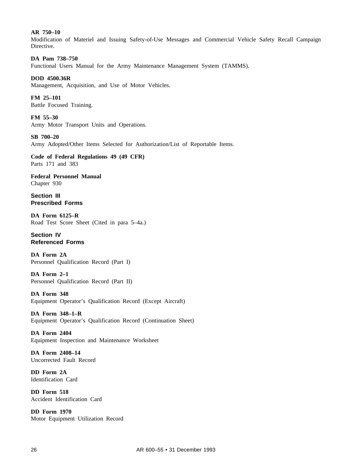#### **AR 750–10**

Modification of Materiel and Issuing Safety-of-Use Messages and Commercial Vehicle Safety Recall Campaign Directive.

#### **DA Pam 738–750**

Functional Users Manual for the Army Maintenance Management System (TAMMS).

#### **DOD 4500.36R**

Management, Acquisition, and Use of Motor Vehicles.

**FM 25–101** Battle Focused Training.

**FM 55–30** Army Motor Transport Units and Operations.

#### **SB 700–20**

Army Adopted/Other Items Selected for Authorization/List of Reportable Items.

**Code of Federal Regulations 49 (49 CFR)** Parts 171 and 383

**Federal Personnel Manual** Chapter 930

**Section III Prescribed Forms**

**DA Form 6125–R** Road Test Score Sheet (Cited in para 5–4a.)

# **Section IV Referenced Forms**

**DA Form 2A** Personnel Qualification Record (Part I)

**DA Form 2–1** Personnel Qualification Record (Part II)

**DA Form 348** Equipment Operator's Qualification Record (Except Aircraft)

**DA Form 348–1–R** Equipment Operator's Qualification Record (Continuation Sheet)

**DA Form 2404** Equipment Inspection and Maintenance Worksheet

**DA Form 2408–14** Uncorrected Fault Record

**DD Form 2A** Identification Card

**DD Form 518** Accident Identification Card

**DD Form 1970** Motor Equipment Utilization Record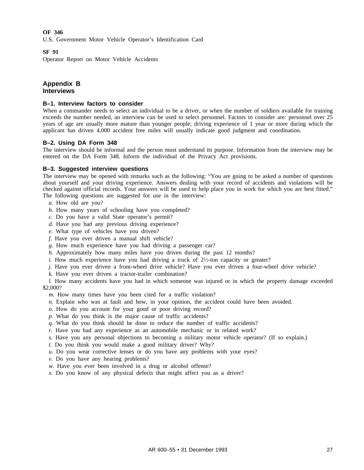# **OF 346**

U.S. Government Motor Vehicle Operator's Identification Card

#### **SF 91**

Operator Report on Motor Vehicle Accidents

# **Appendix B Interviews**

#### **B–1. Interview factors to consider**

When a commander needs to select an individual to be a driver, or when the number of soldiers available for training exceeds the number needed, an interview can be used to select personnel. Factors to consider are: personnel over 25 years of age are usually more mature than younger people; driving experience of 1 year or more during which the applicant has driven 4,000 accident free miles will usually indicate good judgment and coordination.

#### **B–2. Using DA Form 348**

The interview should be informal and the person must understand its purpose. Information from the interview may be entered on the DA Form 348. Inform the individual of the Privacy Act provisions.

#### **B–3. Suggested interview questions**

The interview may be opened with remarks such as the following: "You are going to be asked a number of questions about yourself and your driving experience. Answers dealing with your record of accidents and violations will be checked against official records. Your answers will be used to help place you in work for which you are best fitted." The following questions are suggested for use in the interview:

- *a.* How old are you?
- *b.* How many years of schooling have you completed?
- *c.* Do you have a valid State operator's permit?
- *d.* Have you had any previous driving experience?
- *e.* What type of vehicles have you driven?
- *f.* Have you ever driven a manual shift vehicle?
- *g.* How much experience have you had driving a passenger car?
- *h.* Approximately how many miles have you driven during the past 12 months?
- *i.* How much experience have you had driving a truck of  $2\frac{1}{2}$ -ton capacity or greater?
- *j.* Have you ever driven a front-wheel drive vehicle? Have you ever driven a four-wheel drive vehicle?
- *k.* Have you ever driven a tractor-trailer combination?

*l.* How many accidents have you had in which someone was injured or in which the property damage exceeded \$2,000?

*m.* How many times have you been cited for a traffic violation?

- *n.* Explain who was at fault and how, in your opinion, the accident could have been avoided.
- *o.* How do you account for your good or poor driving record?
- *p.* What do you think is the major cause of traffic accidents?
- *q.* What do you think should be done to reduce the number of traffic accidents?
- *r.* Have you had any experience as an automobile mechanic or in related work?
- *s.* Have you any personal objections to becoming a military motor vehicle operator? (If so explain.)
- *t.* Do you think you would make a good military driver? Why?
- *u.* Do you wear corrective lenses or do you have any problems with your eyes?
- *v.* Do you have any hearing problems?
- w. Have you ever been involved in a drug or alcohol offense?
- *x.* Do you know of any physical defects that might affect you as a driver?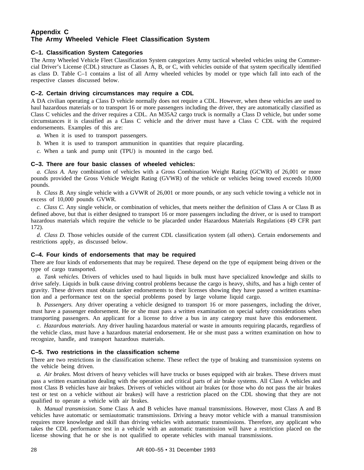# **Appendix C The Army Wheeled Vehicle Fleet Classification System**

# **C–1. Classification System Categories**

The Army Wheeled Vehicle Fleet Classification System categorizes Army tactical wheeled vehicles using the Commercial Driver's License (CDL) structure as Classes A, B, or C, with vehicles outside of that system specifically identified as class D. Table C–1 contains a list of all Army wheeled vehicles by model or type which fall into each of the respective classes discussed below.

#### **C–2. Certain driving circumstances may require a CDL**

A DA civilian operating a Class D vehicle normally does not require a CDL. However, when these vehicles are used to haul hazardous materials or to transport 16 or more passengers including the driver, they are automatically classified as Class C vehicles and the driver requires a CDL. An M35A2 cargo truck is normally a Class D vehicle, but under some circumstances it is classified as a Class C vehicle and the driver must have a Class C CDL with the required endorsements. Examples of this are:

- *a.* When it is used to transport passengers.
- *b.* When it is used to transport ammunition in quantities that require placarding.
- *c.* When a tank and pump unit (TPU) is mounted in the cargo bed.

#### **C–3. There are four basic classes of wheeled vehicles:**

*a. Class A.* Any combination of vehicles with a Gross Combination Weight Rating (GCWR) of 26,001 or more pounds provided the Gross Vehicle Weight Rating (GVWR) of the vehicle or vehicles being towed exceeds 10,000 pounds.

*b. Class B.* Any single vehicle with a GVWR of 26,001 or more pounds, or any such vehicle towing a vehicle not in excess of 10,000 pounds GVWR.

*c. Class C.* Any single vehicle, or combination of vehicles, that meets neither the definition of Class A or Class B as defined above, but that is either designed to transport 16 or more passengers including the driver, or is used to transport hazardous materials which require the vehicle to be placarded under Hazardous Materials Regulations (49 CFR part 172).

*d. Class D.* Those vehicles outside of the current CDL classification system (all others). Certain endorsements and restrictions apply, as discussed below.

# **C–4. Four kinds of endorsements that may be required**

There are four kinds of endorsements that may be required. These depend on the type of equipment being driven or the type of cargo transported.

*a. Tank vehicles.* Drivers of vehicles used to haul liquids in bulk must have specialized knowledge and skills to drive safely. Liquids in bulk cause driving control problems because the cargo is heavy, shifts, and has a high center of gravity. These drivers must obtain tanker endorsements to their licenses showing they have passed a written examination and a performance test on the special problems posed by large volume liquid cargo.

*b. Passengers.* Any driver operating a vehicle designed to transport 16 or more passengers, including the driver, must have a passenger endorsement. He or she must pass a written examination on special safety considerations when transporting passengers. An applicant for a license to drive a bus in any category must have this endorsement.

*c. Hazardous materials.* Any driver hauling hazardous material or waste in amounts requiring placards, regardless of the vehicle class, must have a hazardous material endorsement. He or she must pass a written examination on how to recognize, handle, and transport hazardous materials.

#### **C–5. Two restrictions in the classification scheme**

There are two restrictions in the classification scheme. These reflect the type of braking and transmission systems on the vehicle being driven.

*a. Air brakes.* Most drivers of heavy vehicles will have trucks or buses equipped with air brakes. These drivers must pass a written examination dealing with the operation and critical parts of air brake systems. All Class A vehicles and most Class B vehicles have air brakes. Drivers of vehicles without air brakes (or those who do not pass the air brakes test or test on a vehicle without air brakes) will have a restriction placed on the CDL showing that they are not qualified to operate a vehicle with air brakes.

*b. Manual transmission.* Some Class A and B vehicles have manual transmissions. However, most Class A and B vehicles have automatic or semiautomatic transmissions. Driving a heavy motor vehicle with a manual transmission requires more knowledge and skill than driving vehicles with automatic transmissions. Therefore, any applicant who takes the CDL performance test in a vehicle with an automatic transmission will have a restriction placed on the license showing that he or she is not qualified to operate vehicles with manual transmissions.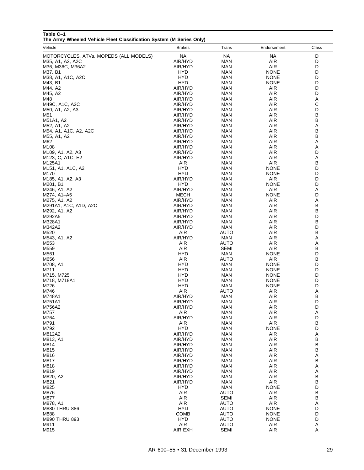# **Table C–1**

**The Army Wheeled Vehicle Fleet Classification System (M Series Only)**

| Vehicle                                                             | <b>Brakes</b>            | Trans                      | Endorsement               | Class  |
|---------------------------------------------------------------------|--------------------------|----------------------------|---------------------------|--------|
| MOTORCYCLES, ATVs, MOPEDS (ALL MODELS)                              | <b>NA</b>                | <b>NA</b>                  | <b>NA</b>                 | D      |
| M35, A1, A2, A2C                                                    | AIR/HYD                  | MAN                        | AIR                       | D      |
| M36, M36C, M36A2                                                    | AIR/HYD                  | MAN                        | <b>AIR</b>                | D      |
| M37, B1                                                             | HYD                      | MAN                        | <b>NONE</b>               | D      |
| M38, A1, A1C, A2C                                                   | HYD                      | MAN                        | <b>NONE</b>               | D      |
| M43, B1                                                             | HYD                      | MAN                        | <b>NONE</b>               | D      |
| M44, A2                                                             | AIR/HYD                  | MAN                        | <b>AIR</b>                | D      |
| M45, A2                                                             | AIR/HYD                  | MAN                        | <b>AIR</b>                | D      |
| M48                                                                 | AIR/HYD                  | MAN                        | <b>AIR</b>                | Α      |
| M49C, A1C, A2C                                                      | AIR/HYD                  | MAN                        | <b>AIR</b>                | С<br>D |
| M50, A1, A2, A3<br>M51                                              | AIR/HYD<br>AIR/HYD       | MAN<br>MAN                 | <b>AIR</b><br><b>AIR</b>  | В      |
| M51A1, A2                                                           | AIR/HYD                  | MAN                        | <b>AIR</b>                | B      |
| M52, A1, A2                                                         | AIR/HYD                  | MAN                        | <b>AIR</b>                | Α      |
| M54, A1, A1C, A2, A2C                                               | AIR/HYD                  | MAN                        | <b>AIR</b>                | В      |
| M55, A1, A2                                                         | AIR/HYD                  | MAN                        | <b>AIR</b>                | В      |
| M62                                                                 | AIR/HYD                  | MAN                        | <b>AIR</b>                | Α      |
| M108                                                                | AIR/HYD                  | MAN                        | AIR                       | Α      |
| M <sub>109</sub> , A <sub>1</sub> , A <sub>2</sub> , A <sub>3</sub> | AIR/HYD                  | MAN                        | <b>AIR</b>                | D      |
| M <sub>123</sub> , C, A <sub>1</sub> C, E <sub>2</sub>              | AIR/HYD                  | MAN                        | AIR<br><b>AIR</b>         | Α<br>В |
| M125A1<br>M151, A1, A1C, A2                                         | AIR<br>HYD               | MAN<br>MAN                 | <b>NONE</b>               | D      |
| M170                                                                | HYD                      | MAN                        | <b>NONE</b>               | D      |
| M <sub>1</sub> 85, A <sub>1</sub> , A <sub>2</sub> , A <sub>3</sub> | AIR/HYD                  | MAN                        | <b>AIR</b>                | D      |
| M201, B1                                                            | HYD                      | MAN                        | <b>NONE</b>               | D      |
| M246, A1, A2                                                        | AIR/HYD                  | MAN                        | <b>AIR</b>                | Α      |
| M274, A1-A5                                                         | MECH                     | MAN                        | <b>NONE</b>               | D      |
| M275, A1, A2                                                        | AIR/HYD                  | MAN                        | <b>AIR</b>                | Α      |
| M291A1, A1C, A1D, A2C                                               | AIR/HYD                  | MAN                        | <b>AIR</b>                | В      |
| M292, A1, A2                                                        | AIR/HYD<br>AIR/HYD       | MAN<br>MAN                 | <b>AIR</b><br><b>AIR</b>  | В<br>D |
| M292A5<br>M328A1                                                    | AIR/HYD                  | MAN                        | <b>AIR</b>                | B      |
| M342A2                                                              | AIR/HYD                  | MAN                        | <b>AIR</b>                | D      |
| M520                                                                | <b>AIR</b>               | AUTO                       | <b>AIR</b>                | В      |
| M543, A1, A2                                                        | AIR/HYD                  | MAN                        | <b>AIR</b>                | Α      |
| M553                                                                | AIR                      | AUTO                       | <b>AIR</b>                | Α      |
| M559                                                                | AIR                      | SEMI                       | <b>AIR</b>                | B      |
| M561                                                                | HYD                      | MAN                        | <b>NONE</b>               | D      |
| M656<br>M708, A1                                                    | <b>AIR</b><br>HYD        | AUTO<br>MAN                | <b>AIR</b><br><b>NONE</b> | B<br>D |
| M711                                                                | HYD                      | MAN                        | <b>NONE</b>               | D      |
| M715, M725                                                          | HYD                      | MAN                        | <b>NONE</b>               | D      |
| M718, M718A1                                                        | HYD                      | MAN                        | <b>NONE</b>               | D      |
| M726                                                                | HYD                      | MAN                        | <b>NONE</b>               | D      |
| M746                                                                | AIR                      | AUTO                       | AIR                       | Α      |
| M748A1                                                              | AIR/HYD                  | MAN                        | AIR                       | В      |
| M751A1<br>M756A2                                                    | AIR/HYD                  | MAN                        | AIR                       | D<br>D |
| M757                                                                | AIR/HYD<br>AIR           | MAN<br>MAN                 | <b>AIR</b><br>AIR         | Α      |
| M764                                                                | AIR/HYD                  | MAN                        | <b>AIR</b>                | D      |
| M791                                                                | AIR                      | <b>MAN</b>                 | AIR                       | B      |
| M792                                                                | <b>HYD</b>               | MAN                        | <b>NONE</b>               | D      |
| M812A2                                                              | AIR/HYD                  | MAN                        | <b>AIR</b>                | Α      |
| M813, A1                                                            | AIR/HYD                  | MAN                        | <b>AIR</b>                | В      |
| M814                                                                | AIR/HYD                  | MAN                        | <b>AIR</b>                | B      |
| M815<br>M816                                                        | AIR/HYD<br>AIR/HYD       | MAN<br><b>MAN</b>          | <b>AIR</b><br><b>AIR</b>  | В<br>Α |
| M817                                                                | AIR/HYD                  | MAN                        | <b>AIR</b>                | В      |
| M818                                                                | AIR/HYD                  | MAN                        | <b>AIR</b>                | Α      |
| M819                                                                | AIR/HYD                  | MAN                        | <b>AIR</b>                | Α      |
| M820, A2                                                            | AIR/HYD                  | <b>MAN</b>                 | <b>AIR</b>                | В      |
| M821                                                                | AIR/HYD                  | <b>MAN</b>                 | AIR                       | B      |
| M825                                                                | <b>HYD</b>               | <b>MAN</b>                 | <b>NONE</b>               | D      |
| M876                                                                | <b>AIR</b>               | <b>AUTO</b>                | <b>AIR</b>                | B      |
| M877                                                                | <b>AIR</b>               | <b>SEMI</b>                | AIR                       | B      |
| M878, A1<br>M880 THRU 886                                           | <b>AIR</b><br><b>HYD</b> | <b>AUTO</b><br><b>AUTO</b> | <b>AIR</b><br><b>NONE</b> | Α<br>D |
| M888                                                                | <b>COMB</b>              | AUTO                       | <b>NONE</b>               | D      |
| M890 THRU 893                                                       | <b>HYD</b>               | AUTO                       | <b>NONE</b>               | D      |
| M911                                                                | <b>AIR</b>               | <b>AUTO</b>                | AIR                       | Α      |
| M915                                                                | AIR EXH                  | <b>SEMI</b>                | <b>AIR</b>                | Α      |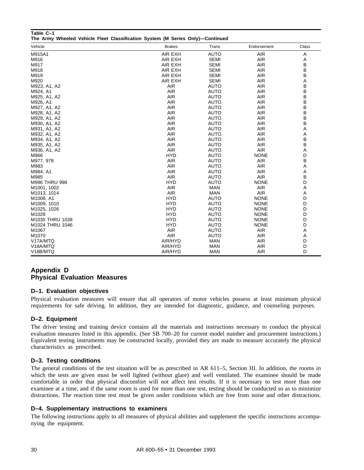| The Army Wheeled Vehicle Fleet Classification System (M Series Only)-Continued |               |             |             |       |
|--------------------------------------------------------------------------------|---------------|-------------|-------------|-------|
| Vehicle                                                                        | <b>Brakes</b> | Trans       | Endorsement | Class |
| M915A1                                                                         | AIR EXH       | <b>AUTO</b> | AIR         | A     |
| M916                                                                           | AIR EXH       | <b>SEMI</b> | <b>AIR</b>  | Α     |
| M917                                                                           | AIR EXH       | <b>SEMI</b> | <b>AIR</b>  | B     |
| M918                                                                           | AIR EXH       | <b>SEMI</b> | AIR         | B     |
| M919                                                                           | AIR EXH       | <b>SEMI</b> | <b>AIR</b>  | В     |
| M920                                                                           | AIR EXH       | <b>SEMI</b> | <b>AIR</b>  | Α     |
| M923, A1, A2                                                                   | <b>AIR</b>    | <b>AUTO</b> | <b>AIR</b>  | В     |
| M924, A1                                                                       | <b>AIR</b>    | <b>AUTO</b> | <b>AIR</b>  | B     |
| M925, A1, A2                                                                   | <b>AIR</b>    | <b>AUTO</b> | <b>AIR</b>  | B     |
| M926, A1                                                                       | <b>AIR</b>    | <b>AUTO</b> | <b>AIR</b>  | B     |
| M927, A1, A2                                                                   | <b>AIR</b>    | <b>AUTO</b> | <b>AIR</b>  | B     |
| M928, A1, A2                                                                   | <b>AIR</b>    | <b>AUTO</b> | <b>AIR</b>  | В     |
| M929, A1, A2                                                                   | <b>AIR</b>    | <b>AUTO</b> | <b>AIR</b>  | B     |
| M930, A1, A2                                                                   | <b>AIR</b>    | <b>AUTO</b> | <b>AIR</b>  | B     |
| M931, A1, A2                                                                   | <b>AIR</b>    | <b>AUTO</b> | <b>AIR</b>  | Α     |
| M932, A1, A2                                                                   | <b>AIR</b>    | <b>AUTO</b> | <b>AIR</b>  | Α     |
| M934, A1, A2                                                                   | <b>AIR</b>    | <b>AUTO</b> | <b>AIR</b>  | В     |
| M935, A1, A2                                                                   | <b>AIR</b>    | <b>AUTO</b> | <b>AIR</b>  | B     |
| M936, A1, A2                                                                   | <b>AIR</b>    | <b>AUTO</b> | <b>AIR</b>  | Α     |
| M966                                                                           | <b>HYD</b>    | <b>AUTO</b> | <b>NONE</b> | D     |
| M977, 978                                                                      | <b>AIR</b>    | <b>AUTO</b> | <b>AIR</b>  | В     |
| M983                                                                           | <b>AIR</b>    | <b>AUTO</b> | <b>AIR</b>  | Α     |
| M984, A1                                                                       | <b>AIR</b>    | <b>AUTO</b> | <b>AIR</b>  | Α     |
| M985                                                                           | <b>AIR</b>    | <b>AUTO</b> | <b>AIR</b>  | B     |
| M996 THRU 998                                                                  | <b>HYD</b>    | <b>AUTO</b> | <b>NONE</b> | D     |
| M1001, 1002                                                                    | <b>AIR</b>    | <b>MAN</b>  | <b>AIR</b>  | Α     |
| M1013, 1014                                                                    | <b>AIR</b>    | <b>MAN</b>  | <b>AIR</b>  | Α     |
| M1008, A1                                                                      | <b>HYD</b>    | <b>AUTO</b> | <b>NONE</b> | D     |
| M1009, 1010                                                                    | <b>HYD</b>    | <b>AUTO</b> | <b>NONE</b> | D     |
| M1025, 1026                                                                    | <b>HYD</b>    | <b>AUTO</b> | <b>NONE</b> | D     |
| M1028                                                                          | <b>HYD</b>    | <b>AUTO</b> | <b>NONE</b> | D     |
| M1035 THRU 1038                                                                | <b>HYD</b>    | <b>AUTO</b> | <b>NONE</b> | D     |
| M1024 THRU 1046                                                                | <b>HYD</b>    | <b>AUTO</b> | <b>NONE</b> | D     |
| M1067                                                                          | <b>AIR</b>    | <b>AUTO</b> | <b>AIR</b>  | Α     |
| M1070                                                                          | <b>AIR</b>    | <b>AUTO</b> | <b>AIR</b>  | Α     |
| V17A/MTQ                                                                       | AIR/HYD       | <b>MAN</b>  | AIR         | D     |
| V18A/MTQ                                                                       | AIR/HYD       | <b>MAN</b>  | <b>AIR</b>  | D     |
| V18B/MTQ                                                                       | AIR/HYD       | <b>MAN</b>  | <b>AIR</b>  | D     |

# **Appendix D Physical Evaluation Measures**

# **D–1. Evaluation objectives**

Physical evaluation measures will ensure that all operators of motor vehicles possess at least minimum physical requirements for safe driving. In addition, they are intended for diagnostic, guidance, and counseling purposes.

# **D–2. Equipment**

**Table C–1**

The driver testing and training device contains all the materials and instructions necessary to conduct the physical evaluation measures listed in this appendix. (See SB 700–20 for current model number and procurement instructions.) Equivalent testing instruments may be constructed locally, provided they are made to measure accurately the physical characteristics as prescribed.

# **D–3. Testing conditions**

The general conditions of the test situation will be as prescribed in AR 611–5, Section III. In addition, the rooms in which the tests are given must be well lighted (without glare) and well ventilated. The examinee should be made comfortable in order that physical discomfort will not affect test results. If it is necessary to test more than one examinee at a time, and if the same room is used for more than one test, testing should be conducted so as to minimize distractions. The reaction time test must be given under conditions which are free from noise and other distractions.

# **D–4. Supplementary instructions to examiners**

The following instructions apply to all measures of physical abilities and supplement the specific instructions accompanying the equipment.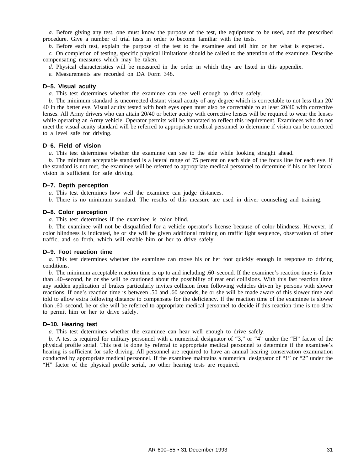*a.* Before giving any test, one must know the purpose of the test, the equipment to be used, and the prescribed procedure. Give a number of trial tests in order to become familiar with the tests.

*b.* Before each test, explain the purpose of the test to the examinee and tell him or her what is expected.

*c.* On completion of testing, specific physical limitations should be called to the attention of the examinee. Describe compensating measures which may be taken.

*d.* Physical characteristics will be measured in the order in which they are listed in this appendix.

*e.* Measurements are recorded on DA Form 348.

#### **D–5. Visual acuity**

*a.* This test determines whether the examinee can see well enough to drive safely.

*b.* The minimum standard is uncorrected distant visual acuity of any degree which is correctable to not less than 20/ 40 in the better eye. Visual acuity tested with both eyes open must also be correctable to at least 20/40 with corrective lenses. All Army drivers who can attain 20/40 or better acuity with corrective lenses will be required to wear the lenses while operating an Army vehicle. Operator permits will be annotated to reflect this requirement. Examinees who do not meet the visual acuity standard will be referred to appropriate medical personnel to determine if vision can be corrected to a level safe for driving.

#### **D–6. Field of vision**

*a.* This test determines whether the examinee can see to the side while looking straight ahead.

*b.* The minimum acceptable standard is a lateral range of 75 percent on each side of the focus line for each eye. If the standard is not met, the examinee will be referred to appropriate medical personnel to determine if his or her lateral vision is sufficient for safe driving.

#### **D–7. Depth perception**

*a.* This test determines how well the examinee can judge distances.

*b.* There is no minimum standard. The results of this measure are used in driver counseling and training.

#### **D–8. Color perception**

*a.* This test determines if the examinee is color blind.

*b.* The examinee will not be disqualified for a vehicle operator's license because of color blindness. However, if color blindness is indicated, he or she will be given additional training on traffic light sequence, observation of other traffic, and so forth, which will enable him or her to drive safely.

#### **D–9. Foot reaction time**

*a.* This test determines whether the examinee can move his or her foot quickly enough in response to driving conditions.

*b.* The minimum acceptable reaction time is up to and including .60–second. If the examinee's reaction time is faster than .40–second, he or she will be cautioned about the possibility of rear end collisions. With this fast reaction time, any sudden application of brakes particularly invites collision from following vehicles driven by persons with slower reactions. If one's reaction time is between .50 and .60 seconds, he or she will be made aware of this slower time and told to allow extra following distance to compensate for the deficiency. If the reaction time of the examinee is slower than .60–second, he or she will be referred to appropriate medical personnel to decide if this reaction time is too slow to permit him or her to drive safely.

#### **D–10. Hearing test**

*a.* This test determines whether the examinee can hear well enough to drive safely.

*b.* A test is required for military personnel with a numerical designator of "3," or "4" under the "H" factor of the physical profile serial. This test is done by referral to appropriate medical personnel to determine if the examinee's hearing is sufficient for safe driving. All personnel are required to have an annual hearing conservation examination conducted by appropriate medical personnel. If the examinee maintains a numerical designator of "1" or "2" under the "H" factor of the physical profile serial, no other hearing tests are required.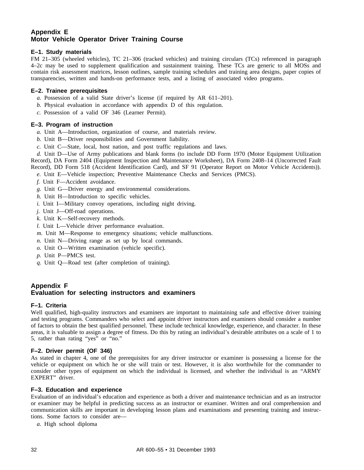# **Appendix E Motor Vehicle Operator Driver Training Course**

# **E–1. Study materials**

FM 21–305 (wheeled vehicles), TC 21–306 (tracked vehicles) and training circulars (TCs) referenced in paragraph 4–2c may be used to supplement qualification and sustainment training. These TCs are generic to all MOSs and contain risk assessment matrices, lesson outlines, sample training schedules and training area designs, paper copies of transparencies, written and hands-on performance tests, and a listing of associated video programs.

# **E–2. Trainee prerequisites**

- *a.* Possession of a valid State driver's license (if required by AR 611–201).
- *b.* Physical evaluation in accordance with appendix D of this regulation.
- *c.* Possession of a valid OF 346 (Learner Permit).

# **E–3. Program of instruction**

- *a.* Unit A—Introduction, organization of course, and materials review.
- *b.* Unit B—Driver responsibilities and Government liability.
- *c.* Unit C—State, local, host nation, and post traffic regulations and laws.

*d.* Unit D—Use of Army publications and blank forms (to include DD Form 1970 (Motor Equipment Utilization Record), DA Form 2404 (Equipment Inspection and Maintenance Worksheet), DA Form 2408–14 (Uncorrected Fault Record), DD Form 518 (Accident Identification Card), and SF 91 (Operator Report on Motor Vehicle Accidents)).

*e.* Unit E—Vehicle inspection; Preventive Maintenance Checks and Services (PMCS).

- *f.* Unit F—Accident avoidance.
- *g.* Unit G—Driver energy and environmental considerations.
- *h.* Unit H—Introduction to specific vehicles.
- *i.* Unit I—Military convoy operations, including night driving.
- *j.* Unit J—Off-road operations.
- *k.* Unit K—Self-recovery methods.
- *l.* Unit L—Vehicle driver performance evaluation.
- *m.* Unit M—Response to emergency situations; vehicle malfunctions.
- *n.* Unit N—Driving range as set up by local commands.
- *o.* Unit O—Written examination (vehicle specific).
- *p.* Unit P—PMCS test.
- *q.* Unit Q—Road test (after completion of training).

# **Appendix F Evaluation for selecting instructors and examiners**

# **F–1. Criteria**

Well qualified, high-quality instructors and examiners are important to maintaining safe and effective driver training and testing programs. Commanders who select and appoint driver instructors and examiners should consider a number of factors to obtain the best qualified personnel. These include technical knowledge, experience, and character. In these areas, it is valuable to assign a degree of fitness. Do this by rating an individual's desirable attributes on a scale of 1 to 5, rather than rating "yes" or "no."

# **F–2. Driver permit (OF 346)**

As stated in chapter 4, one of the prerequisites for any driver instructor or examiner is possessing a license for the vehicle or equipment on which he or she will train or test. However, it is also worthwhile for the commander to consider other types of equipment on which the individual is licensed, and whether the individual is an "ARMY EXPERT" driver.

# **F–3. Education and experience**

Evaluation of an individual's education and experience as both a driver and maintenance technician and as an instructor or examiner may be helpful in predicting success as an instructor or examiner. Written and oral comprehension and communication skills are important in developing lesson plans and examinations and presenting training and instructions. Some factors to consider are—

*a.* High school diploma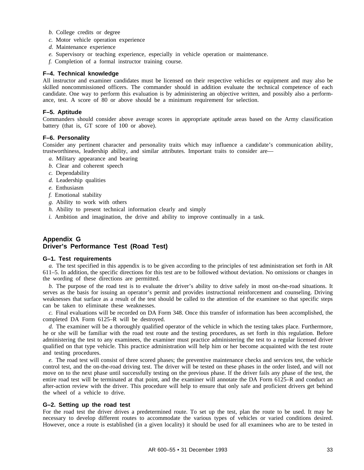- *b.* College credits or degree
- *c.* Motor vehicle operation experience
- *d.* Maintenance experience
- *e.* Supervisory or teaching experience, especially in vehicle operation or maintenance.
- *f.* Completion of a formal instructor training course.

#### **F–4. Technical knowledge**

All instructor and examiner candidates must be licensed on their respective vehicles or equipment and may also be skilled noncommissioned officers. The commander should in addition evaluate the technical competence of each candidate. One way to perform this evaluation is by administering an objective written, and possibly also a performance, test. A score of 80 or above should be a minimum requirement for selection.

#### **F–5. Aptitude**

Commanders should consider above average scores in appropriate aptitude areas based on the Army classification battery (that is, GT score of 100 or above).

#### **F–6. Personality**

Consider any pertinent character and personality traits which may influence a candidate's communication ability, trustworthiness, leadership ability, and similar attributes. Important traits to consider are—

- *a.* Military appearance and bearing
- *b.* Clear and coherent speech
- *c.* Dependability
- *d.* Leadership qualities
- *e.* Enthusiasm
- *f.* Emotional stability
- *g.* Ability to work with others
- *h.* Ability to present technical information clearly and simply
- *i.* Ambition and imagination, the drive and ability to improve continually in a task.

# **Appendix G Driver's Performance Test (Road Test)**

#### **G–1. Test requirements**

*a.* The test specified in this appendix is to be given according to the principles of test administration set forth in AR 611–5. In addition, the specific directions for this test are to be followed without deviation. No omissions or changes in the wording of these directions are permitted.

*b.* The purpose of the road test is to evaluate the driver's ability to drive safely in most on-the-road situations. It serves as the basis for issuing an operator's permit and provides instructional reinforcement and counseling. Driving weaknesses that surface as a result of the test should be called to the attention of the examinee so that specific steps can be taken to eliminate these weaknesses.

*c.* Final evaluations will be recorded on DA Form 348. Once this transfer of information has been accomplished, the completed DA Form 6125–R will be destroyed.

*d.* The examiner will be a thoroughly qualified operator of the vehicle in which the testing takes place. Furthermore, he or she will be familiar with the road test route and the testing procedures, as set forth in this regulation. Before administering the test to any examinees, the examiner must practice administering the test to a regular licensed driver qualified on that type vehicle. This practice administration will help him or her become acquainted with the test route and testing procedures.

*e.* The road test will consist of three scored phases; the preventive maintenance checks and services test, the vehicle control test, and the on-the-road driving test. The driver will be tested on these phases in the order listed, and will not move on to the next phase until successfully testing on the previous phase. If the driver fails any phase of the test, the entire road test will be terminated at that point, and the examiner will annotate the DA Form 6125–R and conduct an after-action review with the driver. This procedure will help to ensure that only safe and proficient drivers get behind the wheel of a vehicle to drive.

# **G–2. Setting up the road test**

For the road test the driver drives a predetermined route. To set up the test, plan the route to be used. It may be necessary to develop different routes to accommodate the various types of vehicles or varied conditions desired. However, once a route is established (in a given locality) it should be used for all examinees who are to be tested in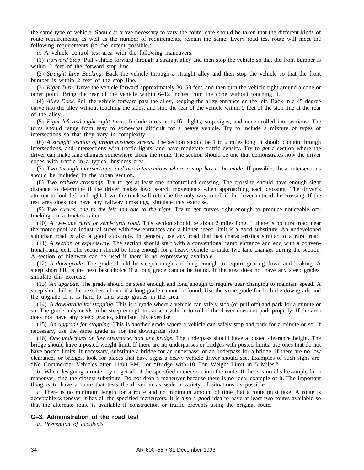the same type of vehicle. Should it prove necessary to vary the route, care should be taken that the different kinds of route requirements, as well as the number of requirements, remain the same. Every road test route will meet the following requirements (to the extent possible):

*a.* A vehicle control test area with the following maneuvers:

(1) *Forward Stop.* Pull vehicle forward through a straight alley and then stop the vehicle so that the front bumper is within 2 feet of the forward stop line.

(2) *Straight Line Backing.* Back the vehicle through a straight alley and then stop the vehicle so that the front bumper is within 2 feet of the stop line.

(3) *Right Turn.* Drive the vehicle forward approximately 30–50 feet, and then turn the vehicle right around a cone or other point. Bring the rear of the vehicle within 6–12 inches from the cone without touching it.

(4) *Alley Dock.* Pull the vehicle forward past the alley, keeping the alley entrance on the left. Back in a 45 degree curve into the alley without touching the sides, and stop the rear of the vehicle within 2 feet of the stop line at the rear of the alley.

(5) *Eight left and eight right turns.* Include turns at traffic lights, stop signs, and uncontrolled intersections. The turns should range from easy to somewhat difficult for a heavy vehicle. Try to include a mixture of types of intersections so that they vary in complexity.

(6) *A straight section of urban business streets.* The section should be 1 to 2 miles long. It should contain through intersections, and intersections with traffic lights, and have moderate traffic density. Try to get a section where the driver can make lane changes somewhere along the route. The section should be one that demonstrates how the driver copes with traffic in a typical business area.

(7) *Two through intersections, and two intersections where a stop has to be made.* If possible, these intersections should be included in the urban section.

(8) *Two railway crossings.* Try to get at least one uncontrolled crossing. The crossing should have enough sight distance to determine if the driver makes head search movements when approaching each crossing. The driver's attempt to look left and right down the track will often be the only way to tell if the driver noticed the crossing. If the test area does not have any railway crossings, simulate this exercise.

(9) *Two curves, one to the left and one to the right.* Try to get curves tight enough to produce noticeable offtracking on a tractor-trailer.

(10) *A two-lane rural or semi-rural road.* This section should be about 2 miles long. If there is no rural road near the motor pool, an industrial street with few entrances and a higher speed limit is a good substitute. An undeveloped suburban road is also a good substitute. In general, use any road that has characteristics similar to a rural road.

(11) *A section of expressway.* The section should start with a conventional ramp entrance and end with a conventional ramp exit. The section should be long enough for a heavy vehicle to make two lane changes during the section. A section of highway can be used if there is no expressway available.

(12) *A downgrade.* The grade should be steep enough and long enough to require gearing down and braking. A steep short hill is the next best choice if a long grade cannot be found. If the area does not have any steep grades, simulate this exercise.

(13) *An upgrade.* The grade should be steep enough and long enough to require gear changing to maintain speed. A steep short hill is the next best choice if a long grade cannot be found. Use the same grade for both the downgrade and the upgrade if it is hard to find steep grades in the area.

(14) *A downgrade for stopping.* This is a grade where a vehicle can safely stop (or pull off) and park for a minute or so. The grade only needs to be steep enough to cause a vehicle to roll if the driver does not park properly. If the area does not have any steep grades, simulate this exercise.

(15) *An upgrade for stopping.* This is another grade where a vehicle can safely stop and park for a minute or so. If necessary, use the same grade as for the downgrade stop.

(16) *One underpass or low clearance, and one bridge.* The underpass should have a posted clearance height. The bridge should have a posted weight limit. If there are no underpasses or bridges with posted limits, use ones that do not have posted limits. If necessary, substitute a bridge for an underpass, or an underpass for a bridge. If there are no low clearances or bridges, look for places that have signs a heavy vehicle driver should see. Examples of such signs are: "No Commercial Vehicles after 11:00 PM," or "Bridge with 10 Ton Weight Limit in 5 Miles."

*b.* When designing a route, try to get all of the specified maneuvers into the route. If there is no ideal example for a maneuver, find the closest substitute. Do not drop a maneuver because there is no ideal example of it. The important thing is to have a route that tests the driver in as wide a variety of situations as possible.

*c.* There is no minimum length for a route and no minimum amount of time that a route must take. A route is acceptable whenever it has all the specified maneuvers. It is also a good idea to have at least two routes available so that the alternate route is available if construction or traffic prevents using the original route.

# **G–3. Administration of the road test**

*a. Prevention of accidents.*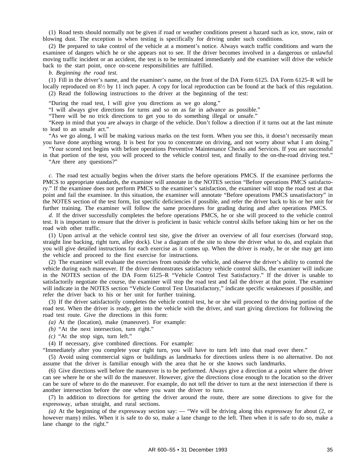(1) Road tests should normally not be given if road or weather conditions present a hazard such as ice, snow, rain or blowing dust. The exception is when testing is specifically for driving under such conditions.

(2) Be prepared to take control of the vehicle at a moment's notice. Always watch traffic conditions and warn the examinee of dangers which he or she appears not to see. If the driver becomes involved in a dangerous or unlawful moving traffic incident or an accident, the test is to be terminated immediately and the examiner will drive the vehicle back to the start point, once on-scene responsibilities are fulfilled.

*b. Beginning the road test.*

(1) Fill in the driver's name, and the examiner's name, on the front of the DA Form 6125. DA Form 6125–R will be locally reproduced on  $8\frac{1}{2}$  by 11 inch paper. A copy for local reproduction can be found at the back of this regulation. (2) Read the following instructions to the driver at the beginning of the test:

"During the road test, I will give you directions as we go along."

"I will always give directions for turns and so on as far in advance as possible."

"There will be no trick directions to get you to do something illegal or unsafe."

"Keep in mind that you are always in charge of the vehicle. Don't follow a direction if it turns out at the last minute to lead to an unsafe act."

"As we go along, I will be making various marks on the test form. When you see this, it doesn't necessarily mean you have done anything wrong. It is best for you to concentrate on driving, and not worry about what I am doing."

"Your scored test begins with before operations Preventive Maintenance Checks and Services. If you are successful in that portion of the test, you will proceed to the vehicle control test, and finally to the on-the-road driving test."

"Are there any questions?"

*c.* The road test actually begins when the driver starts the before operations PMCS. If the examinee performs the PMCS to appropriate standards, the examiner will annotate in the NOTES section "Before operations PMCS satisfactory." If the examinee does not perform PMCS to the examiner's satisfaction, the examiner will stop the road test at that point and fail the examinee. In this situation, the examiner will annotate "Before operations PMCS unsatisfactory" in the NOTES section of the test form, list specific deficiencies if possible, and refer the driver back to his or her unit for further training. The examiner will follow the same procedures for grading during and after operations PMCS.

*d.* If the driver successfully completes the before operations PMCS, he or she will proceed to the vehicle control test. It is important to ensure that the driver is proficient in basic vehicle control skills before taking him or her on the road with other traffic.

(1) Upon arrival at the vehicle control test site, give the driver an overview of all four exercises (forward stop, straight line backing, right turn, alley dock). Use a diagram of the site to show the driver what to do, and explain that you will give detailed instructions for each exercise as it comes up. When the driver is ready, he or she may get into the vehicle and proceed to the first exercise for instructions.

(2) The examiner will evaluate the exercises from outside the vehicle, and observe the driver's ability to control the vehicle during each maneuver. If the driver demonstrates satisfactory vehicle control skills, the examiner will indicate in the NOTES section of the DA Form 6125–R "Vehicle Control Test Satisfactory." If the driver is unable to satisfactorily negotiate the course, the examiner will stop the road test and fail the driver at that point. The examiner will indicate in the NOTES section "Vehicle Control Test Unsatisfactory," indicate specific weaknesses if possible, and refer the driver back to his or her unit for further training.

(3) If the driver satisfactorily completes the vehicle control test, he or she will proceed to the driving portion of the road test. When the driver is ready, get into the vehicle with the driver, and start giving directions for following the road test route. Give the directions in this form:

*(a)* At the (location), make (maneuver). For example:

- *(b)* "At the next intersection, turn right."
- *(c)* "At the stop sign, turn left."

(4) If necessary, give combined directions. For example:

"Immediately after you complete your right turn, you will have to turn left into that road over there."

(5) Avoid using commercial signs or buildings as landmarks for directions unless there is no alternative. Do not assume that the driver is familiar enough with the area that he or she knows such landmarks.

(6) Give directions well before the maneuver is to be performed. Always give a direction at a point where the driver can see where he or she will do the maneuver. However, give the directions close enough to the location so the driver can be sure of where to do the maneuver. For example, do not tell the driver to turn at the next intersection if there is another intersection before the one where you want the driver to turn.

(7) In addition to directions for getting the driver around the route, there are some directions to give for the expressway, urban straight, and rural sections.

*(a)* At the beginning of the expressway section say: — "We will be driving along this expressway for about (2, or however many) miles. When it is safe to do so, make a lane change to the left. Then when it is safe to do so, make a lane change to the right."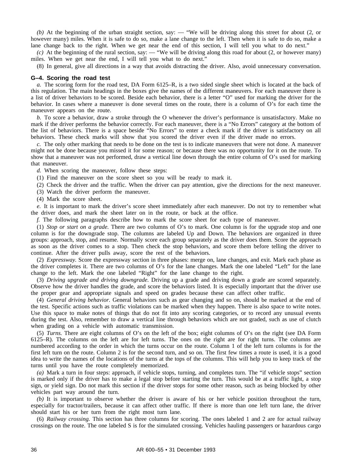*(b)* At the beginning of the urban straight section, say: — "We will be driving along this street for about (2, or however many) miles. When it is safe to do so, make a lane change to the left. Then when it is safe to do so, make a lane change back to the right. When we get near the end of this section, I will tell you what to do next."

*(c)* At the beginning of the rural section, say: — "We will be driving along this road for about (2, or however many) miles. When we get near the end, I will tell you what to do next."

(8) In general, give all directions in a way that avoids distracting the driver. Also, avoid unnecessary conversation.

#### **G–4. Scoring the road test**

*a.* The scoring form for the road test, DA Form 6125–R, is a two sided single sheet which is located at the back of this regulation. The main headings in the boxes give the names of the different maneuvers. For each maneuver there is a list of driver behaviors to be scored. Beside each behavior, there is a letter "O" used for marking the driver for the behavior. In cases where a maneuver is done several times on the route, there is a column of O's for each time the maneuver appears on the route.

*b.* To score a behavior, draw a stroke through the O whenever the driver's performance is unsatisfactory. Make no mark if the driver performs the behavior correctly. For each maneuver, there is a "No Errors" category at the bottom of the list of behaviors. There is a space beside "No Errors" to enter a check mark if the driver is satisfactory on all behaviors. These check marks will show that you scored the driver even if the driver made no errors.

*c.* The only other marking that needs to be done on the test is to indicate maneuvers that were not done. A maneuver might not be done because you missed it for some reason; or because there was no opportunity for it on the route. To show that a maneuver was not performed, draw a vertical line down through the entire column of O's used for marking that maneuver.

*d.* When scoring the maneuver, follow these steps:

(1) Find the maneuver on the score sheet so you will be ready to mark it.

(2) Check the driver and the traffic. When the driver can pay attention, give the directions for the next maneuver.

(3) Watch the driver perform the maneuver.

(4) Mark the score sheet.

*e.* It is important to mark the driver's score sheet immediately after each maneuver. Do not try to remember what the driver does, and mark the sheet later on in the route, or back at the office.

*f.* The following paragraphs describe how to mark the score sheet for each type of maneuver.

(1) *Stop or start on a grade.* There are two columns of O's to mark. One column is for the upgrade stop and one column is for the downgrade stop. The columns are labeled Up and Down. The behaviors are organized in three groups: approach, stop, and resume. Normally score each group separately as the driver does them. Score the approach as soon as the driver comes to a stop. Then check the stop behaviors, and score them before telling the driver to continue. After the driver pulls away, score the rest of the behaviors.

(2) *Expressway.* Score the expressway section in three phases: merge on, lane changes, and exit. Mark each phase as the driver completes it. There are two columns of O's for the lane changes. Mark the one labeled "Left" for the lane change to the left. Mark the one labeled "Right" for the lane change to the right.

(3) *Driving upgrade and driving downgrade.* Driving up a grade and driving down a grade are scored separately. Observe how the driver handles the grade, and score the behaviors listed. It is especially important that the driver use the proper gear and appropriate signals and speed on grades because these can affect other traffic.

(4) *General driving behavior.* General behaviors such as gear changing and so on, should be marked at the end of the test. Specific actions such as traffic violations can be marked when they happen. There is also space to write notes. Use this space to make notes of things that do not fit into any scoring categories, or to record any unusual events during the test. Also, remember to draw a vertical line through behaviors which are not graded, such as use of clutch when grading on a vehicle with automatic transmission.

(5) *Turns.* There are eight columns of O's on the left of the box; eight columns of O's on the right (see DA Form 6125–R). The columns on the left are for left turns. The ones on the right are for right turns. The columns are numbered according to the order in which the turns occur on the route. Column 1 of the left turn columns is for the first left turn on the route. Column 2 is for the second turn, and so on. The first few times a route is used, it is a good idea to write the names of the locations of the turns at the tops of the columns. This will help you to keep track of the turns until you have the route completely memorized.

*(a)* Mark a turn in four steps: approach, if vehicle stops, turning, and completes turn. The "if vehicle stops" section is marked only if the driver has to make a legal stop before starting the turn. This would be at a traffic light, a stop sign, or yield sign. Do not mark this section if the driver stops for some other reason, such as being blocked by other vehicles part way around the turn.

*(b)* It is important to observe whether the driver is aware of his or her vehicle position throughout the turn, especially for tractor/trailers, because it can affect other traffic. If there is more than one left turn lane, the driver should start his or her turn from the right most turn lane.

(6) *Railway crossing.* This section has three columns for scoring. The ones labeled 1 and 2 are for actual railway crossings on the route. The one labeled S is for the simulated crossing. Vehicles hauling passengers or hazardous cargo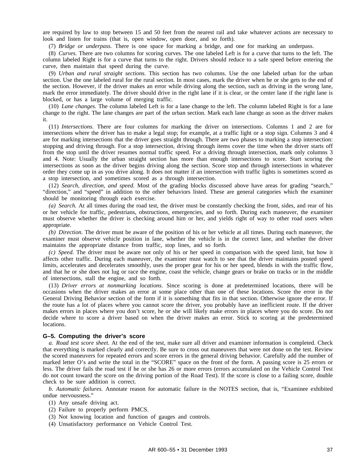are required by law to stop between 15 and 50 feet from the nearest rail and take whatever actions are necessary to look and listen for trains (that is, open window, open door, and so forth).

(7) *Bridge or underpass.* There is one space for marking a bridge, and one for marking an underpass.

(8) *Curves.* There are two columns for scoring curves. The one labeled Left is for a curve that turns to the left. The column labeled Right is for a curve that turns to the right. Drivers should reduce to a safe speed before entering the curve, then maintain that speed during the curve.

(9) *Urban and rural straight sections.* This section has two columns. Use the one labeled urban for the urban section. Use the one labeled rural for the rural section. In most cases, mark the driver when he or she gets to the end of the section. However, if the driver makes an error while driving along the section, such as driving in the wrong lane, mark the error immediately. The driver should drive in the right lane if it is clear, or the center lane if the right lane is blocked, or has a large volume of merging traffic.

(10) *Lane changes.* The column labeled Left is for a lane change to the left. The column labeled Right is for a lane change to the right. The lane changes are part of the urban section. Mark each lane change as soon as the driver makes it.

(11) *Intersections.* There are four columns for marking the driver on intersections. Columns 1 and 2 are for intersections where the driver has to make a legal stop; for example, at a traffic light or a stop sign. Columns 3 and 4 are for marking intersections that the driver goes straight through. There are two phases to marking a stop intersection: stopping and driving through. For a stop intersection, driving through items cover the time when the driver starts off from the stop until the driver resumes normal traffic speed. For a driving through intersection, mark only columns 3 and 4. Note: Usually the urban straight section has more than enough intersections to score. Start scoring the intersections as soon as the driver begins driving along the section. Score stop and through intersections in whatever order they come up in as you drive along. It does not matter if an intersection with traffic lights is sometimes scored as a stop intersection, and sometimes scored as a through intersection.

(12) *Search, direction, and speed.* Most of the grading blocks discussed above have areas for grading "search," "direction," and "speed" in addition to the other behaviors listed. These are general categories which the examiner should be monitoring through each exercise.

*(a) Search.* At all times during the road test, the driver must be constantly checking the front, sides, and rear of his or her vehicle for traffic, pedestrians, obstructions, emergencies, and so forth. During each maneuver, the examiner must observe whether the driver is checking around him or her, and yields right of way to other road users when appropriate.

*(b) Direction.* The driver must be aware of the position of his or her vehicle at all times. During each maneuver, the examiner must observe vehicle position in lane, whether the vehicle is in the correct lane, and whether the driver maintains the appropriate distance from traffic, stop lines, and so forth.

*(c) Speed.* The driver must be aware not only of his or her speed in comparison with the speed limit, but how it affects other traffic. During each maneuver, the examiner must watch to see that the driver maintains posted speed limits, accelerates and decelerates smoothly, uses the proper gear for his or her speed, blends in with the traffic flow, and that he or she does not lug or race the engine, coast the vehicle, change gears or brake on tracks or in the middle of intersections, stall the engine, and so forth.

(13) *Driver errors at nonmarking locations.* Since scoring is done at predetermined locations, there will be occasions when the driver makes an error at some place other than one of these locations. Score the error in the General Driving Behavior section of the form if it is something that fits in that section. Otherwise ignore the error. If the route has a lot of places where you cannot score the driver, you probably have an inefficient route. If the driver makes errors in places where you don't score, he or she will likely make errors in places where you do score. Do not decide where to score a driver based on when the driver makes an error. Stick to scoring at the predetermined locations.

#### **G–5. Computing the driver's score**

*a. Road test score sheet.* At the end of the test, make sure all driver and examiner information is completed. Check that everything is marked clearly and correctly. Be sure to cross out maneuvers that were not done on the test. Review the scored maneuvers for repeated errors and score errors in the general driving behavior. Carefully add the number of marked letter O's and write the total in the "SCORE" space on the front of the form. A passing score is 25 errors or less. The driver fails the road test if he or she has 26 or more errors (errors accumulated on the Vehicle Control Test do not count toward the score on the driving portion of the Road Test). If the score is close to a failing score, double check to be sure addition is correct.

*b. Automatic failures.* Annotate reason for automatic failure in the NOTES section, that is, "Examinee exhibited undue nervousness."

- (1) Any unsafe driving act.
- (2) Failure to properly perform PMCS.
- (3) Not knowing location and function of gauges and controls.
- (4) Unsatisfactory performance on Vehicle Control Test.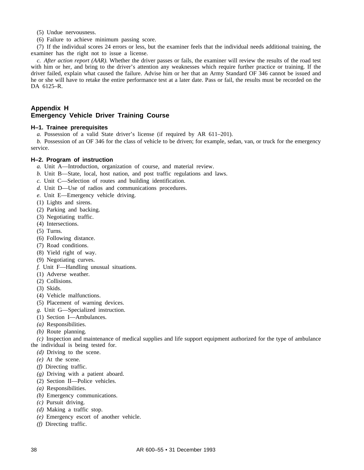- (5) Undue nervousness.
- (6) Failure to achieve minimum passing score.

(7) If the individual scores 24 errors or less, but the examiner feels that the individual needs additional training, the examiner has the right not to issue a license.

*c. After action report (AAR).* Whether the driver passes or fails, the examiner will review the results of the road test with him or her, and bring to the driver's attention any weaknesses which require further practice or training. If the driver failed, explain what caused the failure. Advise him or her that an Army Standard OF 346 cannot be issued and he or she will have to retake the entire performance test at a later date. Pass or fail, the results must be recorded on the DA 6125–R.

# **Appendix H Emergency Vehicle Driver Training Course**

# **H–1. Trainee prerequisites**

*a.* Possession of a valid State driver's license (if required by AR 611–201).

*b.* Possession of an OF 346 for the class of vehicle to be driven; for example, sedan, van, or truck for the emergency service.

#### **H–2. Program of instruction**

- *a.* Unit A—Introduction, organization of course, and material review.
- *b.* Unit B—State, local, host nation, and post traffic regulations and laws.
- *c.* Unit C—Selection of routes and building identification.
- *d.* Unit D—Use of radios and communications procedures.
- *e.* Unit E—Emergency vehicle driving.
- (1) Lights and sirens.
- (2) Parking and backing.
- (3) Negotiating traffic.
- (4) Intersections.
- (5) Turns.
- (6) Following distance.
- (7) Road conditions.
- (8) Yield right of way.
- (9) Negotiating curves.
- *f.* Unit F—Handling unusual situations.
- (1) Adverse weather.
- (2) Collisions.
- (3) Skids.
- (4) Vehicle malfunctions.
- (5) Placement of warning devices.
- *g.* Unit G—Specialized instruction.
- (1) Section I—Ambulances.
- *(a)* Responsibilities.
- *(b)* Route planning.

*(c)* Inspection and maintenance of medical supplies and life support equipment authorized for the type of ambulance the individual is being tested for.

- *(d)* Driving to the scene.
- *(e)* At the scene.
- *(f)* Directing traffic.
- *(g)* Driving with a patient aboard.
- (2) Section II—Police vehicles.
- *(a)* Responsibilities.
- *(b)* Emergency communications.
- *(c)* Pursuit driving.
- *(d)* Making a traffic stop.
- *(e)* Emergency escort of another vehicle.
- *(f)* Directing traffic.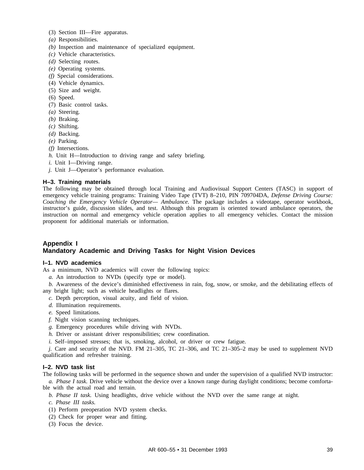- (3) Section III—Fire apparatus.
- *(a)* Responsibilities.
- *(b)* Inspection and maintenance of specialized equipment.
- *(c)* Vehicle characteristics.
- *(d)* Selecting routes.
- *(e)* Operating systems.
- *(f)* Special considerations.
- (4) Vehicle dynamics.
- (5) Size and weight.
- (6) Speed.
- (7) Basic control tasks.
- *(a)* Steering.
- *(b)* Braking.
- *(c)* Shifting.
- *(d)* Backing.
- *(e)* Parking.
- *(f)* Intersections.
- *h.* Unit H—Introduction to driving range and safety briefing.
- *i.* Unit I—Driving range.
- *j.* Unit J—Operator's performance evaluation.

#### **H–3. Training materials**

The following may be obtained through local Training and Audiovisual Support Centers (TASC) in support of emergency vehicle training programs: Training Video Tape (TVT) 8–210, PIN 709704DA, *Defense Driving Course: Coaching the Emergency Vehicle Operator— Ambulance.* The package includes a videotape, operator workbook, instructor's guide, discussion slides, and test. Although this program is oriented toward ambulance operators, the instruction on normal and emergency vehicle operation applies to all emergency vehicles. Contact the mission proponent for additional materials or information.

# **Appendix I Mandatory Academic and Driving Tasks for Night Vision Devices**

#### **I–1. NVD academics**

As a minimum, NVD academics will cover the following topics:

- *a.* An introduction to NVDs (specify type or model).
- *b.* Awareness of the device's diminished effectiveness in rain, fog, snow, or smoke, and the debilitating effects of any bright light; such as vehicle headlights or flares.
	- *c.* Depth perception, visual acuity, and field of vision.
	- *d.* Illumination requirements.
	- *e.* Speed limitations.
	- *f.* Night vision scanning techniques.
	- *g.* Emergency procedures while driving with NVDs.
	- *h.* Driver or assistant driver responsibilities; crew coordination.
	- *i.* Self–imposed stresses; that is, smoking, alcohol, or driver or crew fatigue.

*j.* Care and security of the NVD. FM 21–305, TC 21–306, and TC 21–305–2 may be used to supplement NVD qualification and refresher training.

#### **I–2. NVD task list**

The following tasks will be performed in the sequence shown and under the supervision of a qualified NVD instructor: *a. Phase I task.* Drive vehicle without the device over a known range during daylight conditions; become comforta-

ble with the actual road and terrain.

*b. Phase II task.* Using headlights, drive vehicle without the NVD over the same range at night.

*c. Phase III tasks.*

- (1) Perform preoperation NVD system checks.
- (2) Check for proper wear and fitting.
- (3) Focus the device.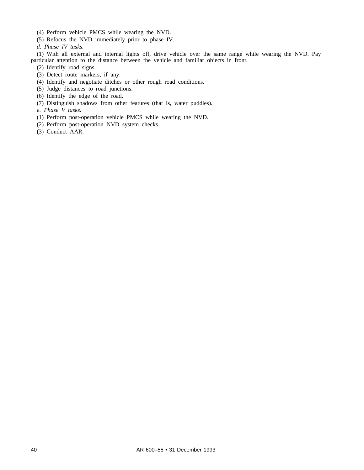- (4) Perform vehicle PMCS while wearing the NVD.
- (5) Refocus the NVD immediately prior to phase IV.

*d. Phase IV tasks.*

(1) With all external and internal lights off, drive vehicle over the same range while wearing the NVD. Pay particular attention to the distance between the vehicle and familiar objects in front.

- (2) Identify road signs.
- (3) Detect route markers, if any.
- (4) Identify and negotiate ditches or other rough road conditions.
- (5) Judge distances to road junctions.
- (6) Identify the edge of the road.
- (7) Distinguish shadows from other features (that is, water puddles).
- *e. Phase V tasks.*
- (1) Perform post-operation vehicle PMCS while wearing the NVD.
- (2) Perform post-operation NVD system checks.
- (3) Conduct AAR.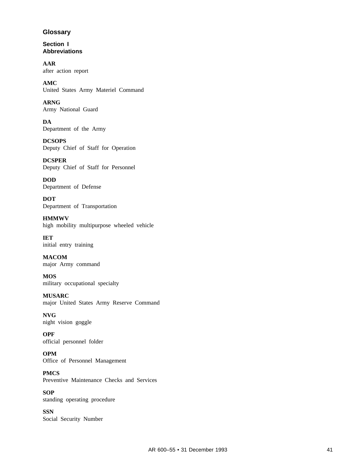# **Glossary**

**Section I Abbreviations**

**AAR** after action report

**AMC** United States Army Materiel Command

**ARNG** Army National Guard

**DA** Department of the Army

**DCSOPS** Deputy Chief of Staff for Operation

**DCSPER** Deputy Chief of Staff for Personnel

**DOD** Department of Defense

**DOT** Department of Transportation

**HMMWV** high mobility multipurpose wheeled vehicle

**IET** initial entry training

**MACOM** major Army command

**MOS** military occupational specialty

**MUSARC** major United States Army Reserve Command

**NVG** night vision goggle

**OPF** official personnel folder

**OPM** Office of Personnel Management

**PMCS** Preventive Maintenance Checks and Services

**SOP** standing operating procedure

**SSN** Social Security Number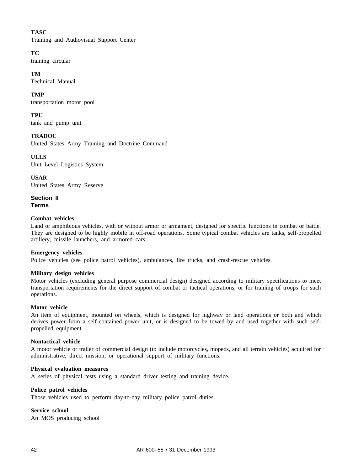# **TASC**

Training and Audiovisual Support Center

# **TC**

training circular

# **TM**

Technical Manual

# **TMP**

transportation motor pool

# **TPU**

tank and pump unit

# **TRADOC**

United States Army Training and Doctrine Command

**ULLS** Unit Level Logistics System

**USAR** United States Army Reserve

**Section II Terms**

# **Combat vehicles**

Land or amphibious vehicles, with or without armor or armament, designed for specific functions in combat or battle. They are designed to be highly mobile in off-road operations. Some typical combat vehicles are tanks, self-propelled artillery, missile launchers, and armored cars.

# **Emergency vehicles**

Police vehicles (see police patrol vehicles), ambulances, fire trucks, and crash-rescue vehicles.

# **Military design vehicles**

Motor vehicles (excluding general purpose commercial design) designed according to military specifications to meet transportation requirements for the direct support of combat or tactical operations, or for training of troops for such operations.

# **Motor vehicle**

An item of equipment, mounted on wheels, which is designed for highway or land operations or both and which derives power from a self-contained power unit, or is designed to be towed by and used together with such selfpropelled equipment.

# **Nontactical vehicle**

A motor vehicle or trailer of commercial design (to include motorcycles, mopeds, and all terrain vehicles) acquired for administrative, direct mission, or operational support of military functions.

# **Physical evaluation measures**

A series of physical tests using a standard driver testing and training device.

# **Police patrol vehicles**

Those vehicles used to perform day-to-day military police patrol duties.

# **Service school**

An MOS producing school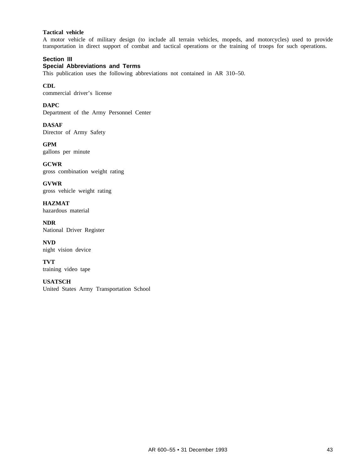# **Tactical vehicle**

A motor vehicle of military design (to include all terrain vehicles, mopeds, and motorcycles) used to provide transportation in direct support of combat and tactical operations or the training of troops for such operations.

# **Section III Special Abbreviations and Terms**

This publication uses the following abbreviations not contained in AR 310–50.

**CDL** commercial driver's license

**DAPC** Department of the Army Personnel Center

**DASAF** Director of Army Safety

**GPM** gallons per minute

**GCWR** gross combination weight rating

**GVWR** gross vehicle weight rating

**HAZMAT** hazardous material

**NDR** National Driver Register

**NVD** night vision device

**TVT** training video tape

**USATSCH** United States Army Transportation School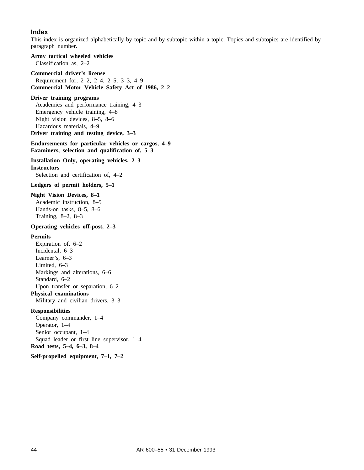# **Index**

This index is organized alphabetically by topic and by subtopic within a topic. Topics and subtopics are identified by paragraph number.

**Army tactical wheeled vehicles** Classification as, 2–2

#### **Commercial driver's license**

Requirement for, 2–2, 2–4, 2–5, 3–3, 4–9 **Commercial Motor Vehicle Safety Act of 1986, 2–2**

#### **Driver training programs**

Academics and performance training, 4–3 Emergency vehicle training, 4–8 Night vision devices, 8–5, 8–6 Hazardous materials, 4–9

**Driver training and testing device, 3–3**

# **Endorsements for particular vehicles or cargos, 4–9 Examiners, selection and qualification of, 5–3**

**Installation Only, operating vehicles, 2–3**

**Instructors**

Selection and certification of, 4–2

**Ledgers of permit holders, 5–1**

#### **Night Vision Devices, 8–1**

Academic instruction, 8–5 Hands-on tasks, 8–5, 8–6 Training, 8–2, 8–3

#### **Operating vehicles off-post, 2–3**

#### **Permits**

Expiration of, 6–2 Incidental, 6–3 Learner's, 6–3 Limited, 6–3 Markings and alterations, 6–6 Standard, 6–2 Upon transfer or separation, 6–2 **Physical examinations** Military and civilian drivers, 3–3

#### **Responsibilities**

Company commander, 1–4 Operator, 1–4 Senior occupant, 1–4 Squad leader or first line supervisor, 1–4 **Road tests, 5–4, 6–3, 8–4**

### **Self-propelled equipment, 7–1, 7–2**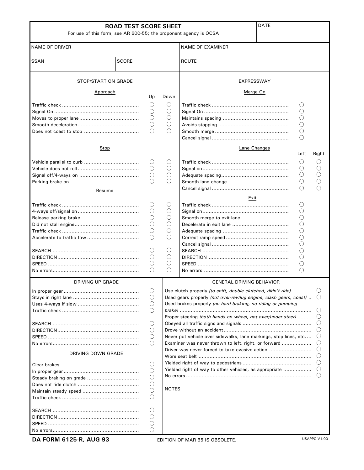| For use of this form, see AR 600-55; the proponent agency is OCSA | <b>ROAD TEST SCORE SHEET</b> |                                                 |                 | <b>DATE</b>                                                             |                 |                                    |
|-------------------------------------------------------------------|------------------------------|-------------------------------------------------|-----------------|-------------------------------------------------------------------------|-----------------|------------------------------------|
| <b>NAME OF DRIVER</b>                                             |                              |                                                 |                 | <b>NAME OF EXAMINER</b>                                                 |                 |                                    |
| <b>SSAN</b>                                                       | <b>SCORE</b>                 |                                                 |                 | <b>ROUTE</b>                                                            |                 |                                    |
| STOP/START ON GRADE                                               |                              |                                                 |                 | EXPRESSWAY                                                              |                 |                                    |
| Approach                                                          |                              | Up                                              | Down            | Merge On                                                                |                 |                                    |
|                                                                   |                              |                                                 |                 |                                                                         |                 |                                    |
|                                                                   |                              | O                                               | O               |                                                                         | C               |                                    |
|                                                                   |                              | $\left( \right)$                                | O               |                                                                         |                 |                                    |
|                                                                   |                              | ( )                                             | О<br>$\bigcirc$ |                                                                         | O<br>С          |                                    |
|                                                                   |                              | O<br>$\left( \right)$                           | Ω               |                                                                         |                 |                                    |
|                                                                   |                              |                                                 |                 |                                                                         | С<br>O          |                                    |
|                                                                   |                              |                                                 |                 |                                                                         |                 |                                    |
| Stop                                                              |                              |                                                 |                 | Lane Changes                                                            | Left            | Right                              |
|                                                                   |                              | O                                               | O               |                                                                         | $\left(\right)$ | U                                  |
|                                                                   |                              | $\left(\right)$                                 | $\left(\right)$ |                                                                         | ()              |                                    |
|                                                                   |                              | O                                               | O               |                                                                         | ( )             |                                    |
|                                                                   |                              | $($ )                                           | ∩               |                                                                         | C               |                                    |
|                                                                   |                              |                                                 |                 |                                                                         |                 |                                    |
| Resume                                                            |                              |                                                 |                 | Exit                                                                    |                 |                                    |
|                                                                   |                              | O                                               | $\left(\right)$ |                                                                         | C               |                                    |
|                                                                   |                              | ()                                              | $\left(\right)$ |                                                                         | О               |                                    |
|                                                                   |                              |                                                 | О               |                                                                         | C               |                                    |
|                                                                   |                              | ( )                                             | О               |                                                                         | С               |                                    |
|                                                                   |                              | O                                               | О               |                                                                         | С               |                                    |
|                                                                   |                              | $\bigcirc$                                      | $\bigcirc$      |                                                                         | $\bigcirc$      |                                    |
|                                                                   |                              |                                                 |                 |                                                                         | С               |                                    |
|                                                                   |                              | $\left( \quad \right)$                          | O               |                                                                         | C               |                                    |
|                                                                   |                              | $\left(\right)$                                 | О               |                                                                         | C               |                                    |
|                                                                   |                              | O                                               | О               |                                                                         | O               |                                    |
|                                                                   |                              | $\left( \begin{array}{c} 1 \end{array} \right)$ | ∩               |                                                                         | О               |                                    |
|                                                                   |                              |                                                 |                 |                                                                         |                 |                                    |
| <b>DRIVING UP GRADE</b>                                           |                              |                                                 |                 | <b>GENERAL DRIVING BEHAVIOR</b>                                         |                 |                                    |
|                                                                   |                              | O                                               |                 | Use clutch properly (to shift, double clutched, didn't ride) $\bigcirc$ |                 |                                    |
|                                                                   |                              | O                                               |                 | Used gears properly (not over-rev/lug engine, clash gears, coast)       |                 |                                    |
|                                                                   |                              | $\left(\right)$                                 |                 | Used brakes properly (no hard braking, no riding or pumping             |                 |                                    |
|                                                                   |                              | $\circ$                                         |                 | Proper steering (both hands on wheel, not over/under steer)             |                 | $\cup$                             |
|                                                                   |                              | O                                               |                 |                                                                         |                 |                                    |
|                                                                   |                              | $\left(\right)$                                 |                 |                                                                         |                 | $\left(\right)$                    |
|                                                                   |                              | $\left(\right)$                                 |                 | Never put vehicle over sidewalks, lane markings, stop lines, etc        |                 | $\left( \right)$                   |
|                                                                   |                              | $\left(\right)$                                 |                 | Examiner was never thrown to left, right, or forward                    |                 | $\left(\right)$                    |
| DRIVING DOWN GRADE                                                |                              |                                                 |                 | Driver was never forced to take evasive action                          |                 | $\left(\right)$<br>$\left(\right)$ |
|                                                                   |                              | $\left(\right)$                                 |                 |                                                                         |                 | $\left( \right)$                   |
|                                                                   |                              | $\left(\right)$                                 |                 |                                                                         |                 |                                    |
|                                                                   |                              | $\left(\right)$                                 |                 |                                                                         |                 | $\left( \right)$                   |
|                                                                   |                              | O                                               |                 |                                                                         |                 |                                    |
|                                                                   |                              | O                                               | <b>NOTES</b>    |                                                                         |                 |                                    |
|                                                                   |                              | O                                               |                 |                                                                         |                 |                                    |
|                                                                   |                              |                                                 |                 |                                                                         |                 |                                    |
|                                                                   |                              | $\left(\right)$                                 |                 |                                                                         |                 |                                    |
|                                                                   |                              | $\left( \right)$                                |                 |                                                                         |                 |                                    |
|                                                                   |                              | O                                               |                 |                                                                         |                 |                                    |
|                                                                   |                              | O                                               |                 |                                                                         |                 |                                    |
| DA FORM 6125-R, AUG 93                                            |                              |                                                 |                 | EDITION OF MAR 65 IS OBSOLETE.                                          |                 | USAPPC V1.00                       |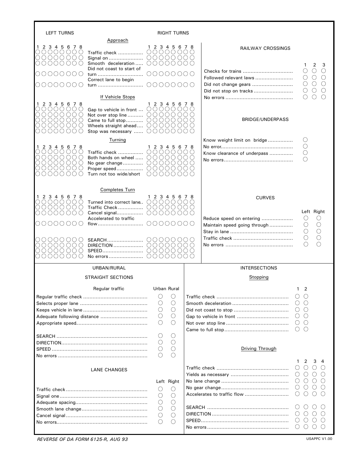| <b>LEFT TURNS</b>                                                                                         |                                                                                                                   | RIGHT TURNS                                                                                                |                                                                                                                        |                                                          |                                                                                                                       |
|-----------------------------------------------------------------------------------------------------------|-------------------------------------------------------------------------------------------------------------------|------------------------------------------------------------------------------------------------------------|------------------------------------------------------------------------------------------------------------------------|----------------------------------------------------------|-----------------------------------------------------------------------------------------------------------------------|
|                                                                                                           | Approach                                                                                                          |                                                                                                            |                                                                                                                        |                                                          |                                                                                                                       |
| 1 2 3 4 5 6 7 8<br>0000000<br>0000000<br>OOOOOOO                                                          | Traffic check<br>Signal on<br>Smooth deceleration                                                                 | $12345678$<br>$0000000$<br>00000000<br>00000000                                                            |                                                                                                                        | <b>RAILWAY CROSSINGS</b>                                 | 2<br>1<br>3                                                                                                           |
| 000000                                                                                                    | Did not coast to start of<br>turn                                                                                 | 00000000                                                                                                   |                                                                                                                        |                                                          | O<br>$\left(\begin{array}{c} \end{array}\right)$                                                                      |
| AUUUUUU                                                                                                   | Correct lane to begin<br>turn                                                                                     | 00000000                                                                                                   |                                                                                                                        | Followed relevant laws<br>Did not change gears           | $\left(\right)$<br>( )<br>O<br>$\left( \begin{array}{c} \end{array} \right)$                                          |
|                                                                                                           | If Vehicle Stops                                                                                                  |                                                                                                            |                                                                                                                        |                                                          | O<br>O<br>∩                                                                                                           |
| 1 2 3 4 5 6 7 8                                                                                           |                                                                                                                   | 1, 2, 3, 4, 5, 6, 7, 8                                                                                     |                                                                                                                        |                                                          |                                                                                                                       |
| 000000<br>O O O O<br>$\circ$<br>$\left(\right)$<br>00000<br>$\left( \right)$<br>00000000<br>000000<br>( ) | Gap to vehicle in front<br>Not over stop line<br>Came to full stop<br>Wheels straight ahead<br>Stop was necessary | 00000<br>00000<br>00000<br>00000<br>0000<br>$\left(\right)$                                                | OOC<br>OOC<br>()()<br>OOC<br>OO O                                                                                      | <b>BRIDGE/UNDERPASS</b>                                  |                                                                                                                       |
|                                                                                                           | Turning                                                                                                           |                                                                                                            |                                                                                                                        | Know weight limit on bridge                              | O                                                                                                                     |
| 2 3 4 5 6 7 8<br>000000                                                                                   | Traffic check                                                                                                     | 1 2 3 4 5 6 7 8<br>$\left( \right)$<br>$\left(\right)$<br>()()                                             | $\bigcirc$ $\bigcirc$ $\bigcirc$                                                                                       |                                                          | $\bigcirc$                                                                                                            |
| OOOO<br>$\circ$ $\circ$<br>O(OO)<br>$\left( \right)$<br>00000<br>NUUU<br>( )<br>( )                       | Both hands on wheel<br>No gear change<br>Proper speed<br>Turn not too wide/short                                  | OO<br>$\circlearrowright$<br>OO<br>00000<br>00000<br>◯<br>$\left(\right)$<br>$\left(\right)$<br>( )<br>( ) | $\left( \right)$<br>$\left( \begin{array}{c} \end{array} \right)$<br>( )<br>$\left( \right)$<br>$\left( \quad \right)$ | Know clearance of underpass                              | $\bigcirc$                                                                                                            |
|                                                                                                           | <b>Completes Turn</b>                                                                                             |                                                                                                            |                                                                                                                        |                                                          |                                                                                                                       |
| 1 2 3 4 5 6 7 8<br>00000<br>$\left( \quad \right)$<br>0000000<br>0000000                                  | Turned into correct lane<br>Traffic Check<br>Cancel signal                                                        | 1 2 3 4 5 6 7 8<br>00000<br>00000000<br>00000000                                                           | $\left( \quad \right)$<br>$( )$ ( )                                                                                    | <b>CURVES</b>                                            | Left Right                                                                                                            |
| ( )<br>()()                                                                                               | Accelerated to traffic                                                                                            | 00000                                                                                                      | OOO                                                                                                                    | Reduce speed on entering<br>Maintain speed going through | O<br>Ő<br>$\bigcirc$                                                                                                  |
| 00000000<br>0000000<br>0000000<br>0000<br>$\bigcirc$<br>()<br>$($ )                                       | SEARCH                                                                                                            | 00000000<br>0000000<br>$\bigcirc$<br>'O<br>$\bigcirc$<br>О                                                 | $\bigcirc$ $\bigcirc$ $\bigcirc$<br>$\circlearrowright$                                                                |                                                          | С<br>О                                                                                                                |
|                                                                                                           | URBAN/RURAL                                                                                                       |                                                                                                            |                                                                                                                        | <b>INTERSECTIONS</b>                                     |                                                                                                                       |
|                                                                                                           | <b>STRAIGHT SECTIONS</b>                                                                                          |                                                                                                            |                                                                                                                        | Stopping                                                 |                                                                                                                       |
|                                                                                                           | Regular traffic                                                                                                   | Urban Rural                                                                                                |                                                                                                                        |                                                          | $1\quad 2$                                                                                                            |
|                                                                                                           |                                                                                                                   | O<br>O                                                                                                     |                                                                                                                        |                                                          | $\left( \right)$                                                                                                      |
|                                                                                                           |                                                                                                                   | $\bigcirc$                                                                                                 |                                                                                                                        |                                                          | $\left(\right)$                                                                                                       |
|                                                                                                           |                                                                                                                   | $\bigcirc$<br>$\bigcirc$<br>O<br>$\bigcirc$                                                                |                                                                                                                        |                                                          | $\left(\right)$<br>$\left( \ \right)$                                                                                 |
|                                                                                                           |                                                                                                                   | $\bigcirc$<br>$\bigcirc$                                                                                   |                                                                                                                        |                                                          | $\left(\right)$<br>$\left( \ \right)$<br>$\left( \ \right)$                                                           |
|                                                                                                           |                                                                                                                   |                                                                                                            |                                                                                                                        |                                                          | ∩<br>$\left( \right)$                                                                                                 |
|                                                                                                           |                                                                                                                   | O<br>O<br>$\bigcirc$<br>O<br>$\bigcirc$<br>$\bigcirc$                                                      |                                                                                                                        | Driving Through                                          |                                                                                                                       |
|                                                                                                           |                                                                                                                   |                                                                                                            |                                                                                                                        |                                                          | 2<br>3<br>1<br>4                                                                                                      |
|                                                                                                           | <b>LANE CHANGES</b>                                                                                               |                                                                                                            |                                                                                                                        |                                                          | $\left( \right)$<br>$\left( \ \right)$<br>$\left( \ \right)$<br>$\bigcirc$<br>$\circlearrowright$<br>$\left( \right)$ |
|                                                                                                           |                                                                                                                   | Left Right<br>$\bigcirc$<br>Ő                                                                              |                                                                                                                        |                                                          | Ő<br>$\circlearrowright$<br>$\circ$<br>$\left(\right)$                                                                |
|                                                                                                           |                                                                                                                   | $\bigcirc$<br>$\bigcirc$                                                                                   |                                                                                                                        |                                                          | Ő<br>$\left( \ \right)$<br>$\left( \ \right)$                                                                         |
|                                                                                                           |                                                                                                                   | $\bigcirc$<br>$\bigcirc$                                                                                   |                                                                                                                        |                                                          |                                                                                                                       |
|                                                                                                           |                                                                                                                   | $\bigcirc$<br>$\bigcirc$<br>$\bigcirc$<br>O<br>$\bigcirc$<br>O                                             |                                                                                                                        |                                                          | $\left( \right)$<br>$\left( \right)$<br>$\left( \ \right)$                                                            |
|                                                                                                           |                                                                                                                   |                                                                                                            |                                                                                                                        |                                                          | $\left( \ \right)$<br>$\left( \ \right)$                                                                              |

*REVERSE OF DA FORM 6125-R, AUG 93* USAPPC V1.00

Г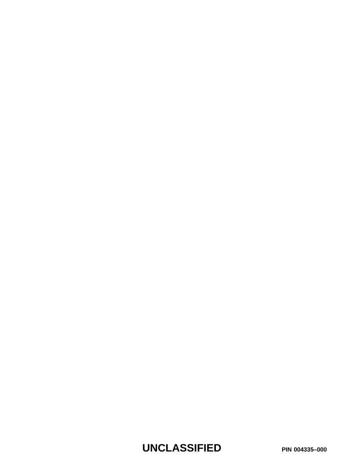**UNCLASSIFIED PIN 004335–000**